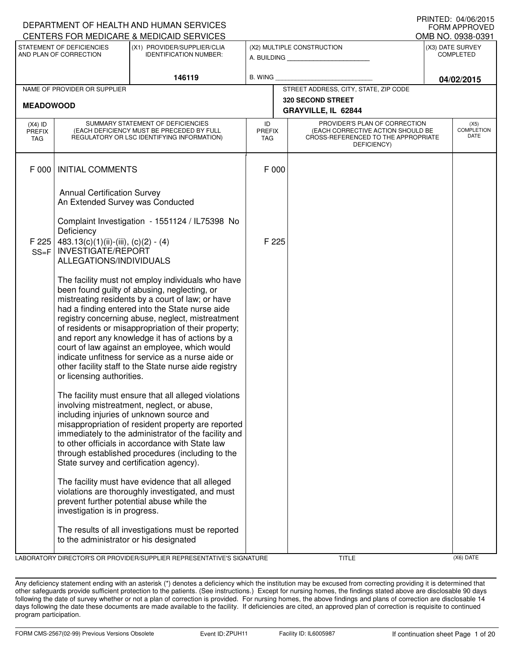|                                   |                                                                        | DEPARTMENT OF HEALTH AND HUMAN SERVICES                                                                                                                                                                                                                                                                                                                                                                                                                                                                                               |                            |                                                                                                                          |                                      | $1.01$ $1.1.1$ $-1.0$ $-7.0$ $0.2$ $-0.1$ $0.0$<br><b>FORM APPROVED</b> |
|-----------------------------------|------------------------------------------------------------------------|---------------------------------------------------------------------------------------------------------------------------------------------------------------------------------------------------------------------------------------------------------------------------------------------------------------------------------------------------------------------------------------------------------------------------------------------------------------------------------------------------------------------------------------|----------------------------|--------------------------------------------------------------------------------------------------------------------------|--------------------------------------|-------------------------------------------------------------------------|
|                                   |                                                                        | CENTERS FOR MEDICARE & MEDICAID SERVICES                                                                                                                                                                                                                                                                                                                                                                                                                                                                                              |                            |                                                                                                                          | OMB NO. 0938-0391                    |                                                                         |
|                                   | STATEMENT OF DEFICIENCIES<br>AND PLAN OF CORRECTION                    | (X1) PROVIDER/SUPPLIER/CLIA<br><b>IDENTIFICATION NUMBER:</b>                                                                                                                                                                                                                                                                                                                                                                                                                                                                          |                            | (X2) MULTIPLE CONSTRUCTION<br>A. BUILDING <b>A.</b> BUILDING                                                             | (X3) DATE SURVEY<br><b>COMPLETED</b> |                                                                         |
|                                   |                                                                        | 146119                                                                                                                                                                                                                                                                                                                                                                                                                                                                                                                                | B. WING                    |                                                                                                                          |                                      | 04/02/2015                                                              |
|                                   | NAME OF PROVIDER OR SUPPLIER                                           |                                                                                                                                                                                                                                                                                                                                                                                                                                                                                                                                       |                            | STREET ADDRESS, CITY, STATE, ZIP CODE                                                                                    |                                      |                                                                         |
| <b>MEADOWOOD</b>                  |                                                                        |                                                                                                                                                                                                                                                                                                                                                                                                                                                                                                                                       |                            | 320 SECOND STREET                                                                                                        |                                      |                                                                         |
|                                   |                                                                        |                                                                                                                                                                                                                                                                                                                                                                                                                                                                                                                                       |                            | GRAYVILLE, IL 62844                                                                                                      |                                      |                                                                         |
| $(X4)$ ID<br><b>PREFIX</b><br>TAG |                                                                        | SUMMARY STATEMENT OF DEFICIENCIES<br>(EACH DEFICIENCY MUST BE PRECEDED BY FULL<br>REGULATORY OR LSC IDENTIFYING INFORMATION)                                                                                                                                                                                                                                                                                                                                                                                                          | ID<br><b>PREFIX</b><br>TAG | PROVIDER'S PLAN OF CORRECTION<br>(EACH CORRECTIVE ACTION SHOULD BE<br>CROSS-REFERENCED TO THE APPROPRIATE<br>DEFICIENCY) |                                      | (X5)<br><b>COMPLETION</b><br>DATE                                       |
| F 000                             | <b>INITIAL COMMENTS</b>                                                |                                                                                                                                                                                                                                                                                                                                                                                                                                                                                                                                       | F 000                      |                                                                                                                          |                                      |                                                                         |
|                                   | <b>Annual Certification Survey</b><br>An Extended Survey was Conducted |                                                                                                                                                                                                                                                                                                                                                                                                                                                                                                                                       |                            |                                                                                                                          |                                      |                                                                         |
| F 225                             | Deficiency<br>483.13(c)(1)(ii)-(iii), (c)(2) - (4)                     | Complaint Investigation - 1551124 / IL75398 No                                                                                                                                                                                                                                                                                                                                                                                                                                                                                        | F 225                      |                                                                                                                          |                                      |                                                                         |
| $SS = F$                          | <b>INVESTIGATE/REPORT</b><br>ALLEGATIONS/INDIVIDUALS                   |                                                                                                                                                                                                                                                                                                                                                                                                                                                                                                                                       |                            |                                                                                                                          |                                      |                                                                         |
|                                   | or licensing authorities.                                              | The facility must not employ individuals who have<br>been found guilty of abusing, neglecting, or<br>mistreating residents by a court of law; or have<br>had a finding entered into the State nurse aide<br>registry concerning abuse, neglect, mistreatment<br>of residents or misappropriation of their property;<br>and report any knowledge it has of actions by a<br>court of law against an employee, which would<br>indicate unfitness for service as a nurse aide or<br>other facility staff to the State nurse aide registry |                            |                                                                                                                          |                                      |                                                                         |
|                                   |                                                                        | The facility must ensure that all alleged violations<br>involving mistreatment, neglect, or abuse,<br>including injuries of unknown source and<br>misappropriation of resident property are reported<br>immediately to the administrator of the facility and<br>to other officials in accordance with State law<br>through established procedures (including to the<br>State survey and certification agency).                                                                                                                        |                            |                                                                                                                          |                                      |                                                                         |
|                                   | investigation is in progress.                                          | The facility must have evidence that all alleged<br>violations are thoroughly investigated, and must<br>prevent further potential abuse while the                                                                                                                                                                                                                                                                                                                                                                                     |                            |                                                                                                                          |                                      |                                                                         |
|                                   | to the administrator or his designated                                 | The results of all investigations must be reported                                                                                                                                                                                                                                                                                                                                                                                                                                                                                    |                            |                                                                                                                          |                                      |                                                                         |
|                                   |                                                                        | LABORATORY DIRECTOR'S OR PROVIDER/SUPPLIER REPRESENTATIVE'S SIGNATURE                                                                                                                                                                                                                                                                                                                                                                                                                                                                 |                            | <b>TITLE</b>                                                                                                             |                                      | (X6) DATE                                                               |

Any deficiency statement ending with an asterisk (\*) denotes a deficiency which the institution may be excused from correcting providing it is determined that other safeguards provide sufficient protection to the patients. (See instructions.) Except for nursing homes, the findings stated above are disclosable 90 days following the date of survey whether or not a plan of correction is provided. For nursing homes, the above findings and plans of correction are disclosable 14 days following the date these documents are made available to the facility. If deficiencies are cited, an approved plan of correction is requisite to continued program participation.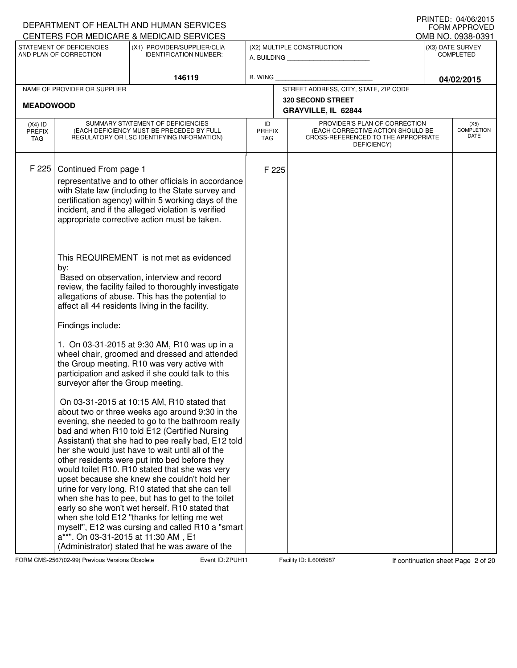| CENTERS FOR MEDICARE & MEDICAID SERVICES<br>STATEMENT OF DEFICIENCIES<br>(X1) PROVIDER/SUPPLIER/CLIA<br>(X2) MULTIPLE CONSTRUCTION<br>(X3) DATE SURVEY<br>AND PLAN OF CORRECTION<br><b>IDENTIFICATION NUMBER:</b><br><b>COMPLETED</b><br>A. BUILDING <b>A.</b> BUILDING<br>146119<br><b>B. WING</b><br>STREET ADDRESS, CITY, STATE, ZIP CODE<br>NAME OF PROVIDER OR SUPPLIER<br>320 SECOND STREET                                                                                                                                                                                                                                                                                                                                                                                                                                                                                                                                                                                                                                                                                                                                                                                                                                                                                                                                                                                                                                                                                                                                                                                                                          |                  | DEPARTMENT OF HEALTH AND HUMAN SERVICES |  |  | IIUINILLU. U≒/UU/ZUIJ<br><b>FORM APPROVED</b><br>OMB NO. 0938-0391 |
|----------------------------------------------------------------------------------------------------------------------------------------------------------------------------------------------------------------------------------------------------------------------------------------------------------------------------------------------------------------------------------------------------------------------------------------------------------------------------------------------------------------------------------------------------------------------------------------------------------------------------------------------------------------------------------------------------------------------------------------------------------------------------------------------------------------------------------------------------------------------------------------------------------------------------------------------------------------------------------------------------------------------------------------------------------------------------------------------------------------------------------------------------------------------------------------------------------------------------------------------------------------------------------------------------------------------------------------------------------------------------------------------------------------------------------------------------------------------------------------------------------------------------------------------------------------------------------------------------------------------------|------------------|-----------------------------------------|--|--|--------------------------------------------------------------------|
|                                                                                                                                                                                                                                                                                                                                                                                                                                                                                                                                                                                                                                                                                                                                                                                                                                                                                                                                                                                                                                                                                                                                                                                                                                                                                                                                                                                                                                                                                                                                                                                                                            |                  |                                         |  |  |                                                                    |
|                                                                                                                                                                                                                                                                                                                                                                                                                                                                                                                                                                                                                                                                                                                                                                                                                                                                                                                                                                                                                                                                                                                                                                                                                                                                                                                                                                                                                                                                                                                                                                                                                            |                  |                                         |  |  | 04/02/2015                                                         |
|                                                                                                                                                                                                                                                                                                                                                                                                                                                                                                                                                                                                                                                                                                                                                                                                                                                                                                                                                                                                                                                                                                                                                                                                                                                                                                                                                                                                                                                                                                                                                                                                                            |                  |                                         |  |  |                                                                    |
|                                                                                                                                                                                                                                                                                                                                                                                                                                                                                                                                                                                                                                                                                                                                                                                                                                                                                                                                                                                                                                                                                                                                                                                                                                                                                                                                                                                                                                                                                                                                                                                                                            | <b>MEADOWOOD</b> |                                         |  |  |                                                                    |
| GRAYVILLE, IL 62844                                                                                                                                                                                                                                                                                                                                                                                                                                                                                                                                                                                                                                                                                                                                                                                                                                                                                                                                                                                                                                                                                                                                                                                                                                                                                                                                                                                                                                                                                                                                                                                                        |                  |                                         |  |  |                                                                    |
| SUMMARY STATEMENT OF DEFICIENCIES<br>PROVIDER'S PLAN OF CORRECTION<br>ID<br>$(X4)$ ID<br>(EACH DEFICIENCY MUST BE PRECEDED BY FULL<br>(EACH CORRECTIVE ACTION SHOULD BE<br><b>PREFIX</b><br><b>PREFIX</b><br>REGULATORY OR LSC IDENTIFYING INFORMATION)<br>CROSS-REFERENCED TO THE APPROPRIATE<br><b>TAG</b><br><b>TAG</b><br>DEFICIENCY)                                                                                                                                                                                                                                                                                                                                                                                                                                                                                                                                                                                                                                                                                                                                                                                                                                                                                                                                                                                                                                                                                                                                                                                                                                                                                  |                  |                                         |  |  | (X5)<br><b>COMPLETION</b><br>DATE                                  |
| F 225<br>Continued From page 1<br>F 225<br>representative and to other officials in accordance<br>with State law (including to the State survey and<br>certification agency) within 5 working days of the<br>incident, and if the alleged violation is verified<br>appropriate corrective action must be taken.<br>This REQUIREMENT is not met as evidenced<br>by:<br>Based on observation, interview and record<br>review, the facility failed to thoroughly investigate<br>allegations of abuse. This has the potential to<br>affect all 44 residents living in the facility.<br>Findings include:<br>1. On 03-31-2015 at 9:30 AM, R10 was up in a<br>wheel chair, groomed and dressed and attended<br>the Group meeting. R10 was very active with<br>participation and asked if she could talk to this<br>surveyor after the Group meeting.<br>On 03-31-2015 at 10:15 AM, R10 stated that<br>about two or three weeks ago around 9:30 in the<br>evening, she needed to go to the bathroom really<br>bad and when R10 told E12 (Certified Nursing<br>Assistant) that she had to pee really bad, E12 told<br>her she would just have to wait until all of the<br>other residents were put into bed before they<br>would toilet R10. R10 stated that she was very<br>upset because she knew she couldn't hold her<br>urine for very long. R10 stated that she can tell<br>when she has to pee, but has to get to the toilet<br>early so she won't wet herself. R10 stated that<br>when she told E12 "thanks for letting me wet<br>myself", E12 was cursing and called R10 a "smart"<br>a**". On 03-31-2015 at 11:30 AM, E1 |                  |                                         |  |  |                                                                    |

FORM CMS-2567(02-99) Previous Versions Obsolete **Zapul Event ID: ZPUH11** Facility ID: IL6005987 If continuation sheet Page 2 of 20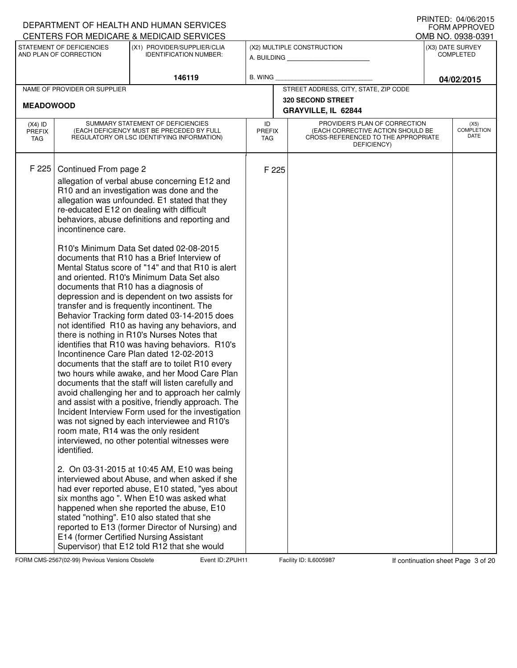## A. BUILDING **\_\_\_\_\_\_\_\_\_\_\_\_\_\_\_\_\_\_\_\_\_\_** (X1) PROVIDER/SUPPLIER/CLIA IDENTIFICATION NUMBER: STATEMENT OF DEFICIENCIES AND PLAN OF CORRECTION (X3) DATE SURVEY COMPLETED FORM APPROVED<br>OMB NO. 0938-0391 (X2) MULTIPLE CONSTRUCTION B. WING CENTERS FOR MEDICARE & MEDICAID SERVICES **146119 04/02/2015** NAME OF PROVIDER OR SUPPLIER STREET ADDRESS, CITY, STATE, ZIP CODE **320 SECOND STREET MEADOWOOD GRAYVILLE, IL 62844** PROVIDER'S PLAN OF CORRECTION (EACH CORRECTIVE ACTION SHOULD BE CROSS-REFERENCED TO THE APPROPRIATE DEFICIENCY) (X5) **COMPLETION** DATE ID PREFIX TAG (X4) ID PREFIX TAG SUMMARY STATEMENT OF DEFICIENCIES (EACH DEFICIENCY MUST BE PRECEDED BY FULL REGULATORY OR LSC IDENTIFYING INFORMATION) F 225 Continued From page 2 F 225 allegation of verbal abuse concerning E12 and R10 and an investigation was done and the allegation was unfounded. E1 stated that they re-educated E12 on dealing with difficult behaviors, abuse definitions and reporting and incontinence care. R10's Minimum Data Set dated 02-08-2015 documents that R10 has a Brief Interview of Mental Status score of "14" and that R10 is alert and oriented. R10's Minimum Data Set also documents that R10 has a diagnosis of depression and is dependent on two assists for transfer and is frequently incontinent. The Behavior Tracking form dated 03-14-2015 does not identified R10 as having any behaviors, and there is nothing in R10's Nurses Notes that identifies that R10 was having behaviors. R10's Incontinence Care Plan dated 12-02-2013 documents that the staff are to toilet R10 every two hours while awake, and her Mood Care Plan documents that the staff will listen carefully and avoid challenging her and to approach her calmly and assist with a positive, friendly approach. The Incident Interview Form used for the investigation was not signed by each interviewee and R10's room mate, R14 was the only resident interviewed, no other potential witnesses were identified. 2. On 03-31-2015 at 10:45 AM, E10 was being interviewed about Abuse, and when asked if she had ever reported abuse, E10 stated, "yes about six months ago ". When E10 was asked what happened when she reported the abuse, E10 stated "nothing". E10 also stated that she reported to E13 (former Director of Nursing) and E14 (former Certified Nursing Assistant Supervisor) that E12 told R12 that she would

FORM CMS-2567(02-99) Previous Versions Obsolete **ZPUH Event ID: 2PUH11** Facility ID: IL6005987 If continuation sheet Page 3 of 20

DEPARTMENT OF HEALTH AND HUMAN SERVICES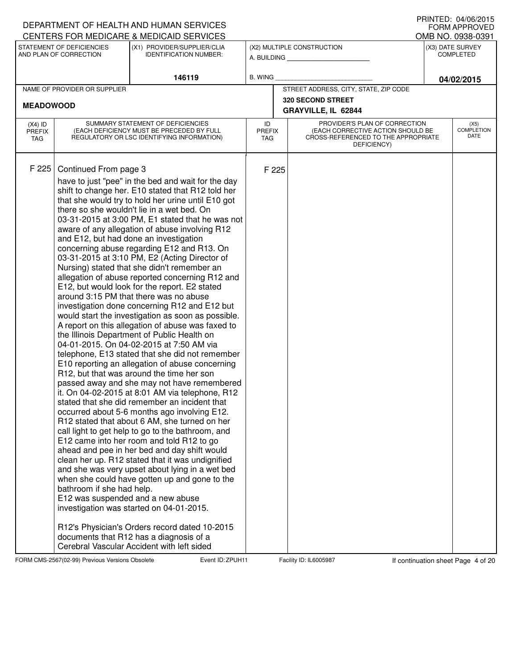### A. BUILDING **\_\_\_\_\_\_\_\_\_\_\_\_\_\_\_\_\_\_\_\_\_\_** (X1) PROVIDER/SUPPLIER/CLIA IDENTIFICATION NUMBER: STATEMENT OF DEFICIENCIES AND PLAN OF CORRECTION (X3) DATE SURVEY COMPLETED FORM APPROVED<br>OMB NO. 0938-0391 (X2) MULTIPLE CONSTRUCTION B. WING CENTERS FOR MEDICARE & MEDICAID SERVICES **146119 04/02/2015** NAME OF PROVIDER OR SUPPLIER STREET ADDRESS, CITY, STATE, ZIP CODE **320 SECOND STREET MEADOWOOD GRAYVILLE, IL 62844** PROVIDER'S PLAN OF CORRECTION (EACH CORRECTIVE ACTION SHOULD BE CROSS-REFERENCED TO THE APPROPRIATE DEFICIENCY) (X5) **COMPLETION** DATE ID PREFIX TAG (X4) ID PREFIX TAG SUMMARY STATEMENT OF DEFICIENCIES (EACH DEFICIENCY MUST BE PRECEDED BY FULL REGULATORY OR LSC IDENTIFYING INFORMATION) F 225 Continued From page 3 F 225 have to just "pee" in the bed and wait for the day shift to change her. E10 stated that R12 told her that she would try to hold her urine until E10 got there so she wouldn't lie in a wet bed. On 03-31-2015 at 3:00 PM, E1 stated that he was not aware of any allegation of abuse involving R12 and E12, but had done an investigation concerning abuse regarding E12 and R13. On 03-31-2015 at 3:10 PM, E2 (Acting Director of Nursing) stated that she didn't remember an allegation of abuse reported concerning R12 and E12, but would look for the report. E2 stated around 3:15 PM that there was no abuse investigation done concerning R12 and E12 but would start the investigation as soon as possible. A report on this allegation of abuse was faxed to the Illinois Department of Public Health on 04-01-2015. On 04-02-2015 at 7:50 AM via telephone, E13 stated that she did not remember E10 reporting an allegation of abuse concerning R12, but that was around the time her son passed away and she may not have remembered it. On 04-02-2015 at 8:01 AM via telephone, R12 stated that she did remember an incident that occurred about 5-6 months ago involving E12. R12 stated that about 6 AM, she turned on her call light to get help to go to the bathroom, and E12 came into her room and told R12 to go ahead and pee in her bed and day shift would clean her up. R12 stated that it was undignified and she was very upset about lying in a wet bed when she could have gotten up and gone to the bathroom if she had help. E12 was suspended and a new abuse investigation was started on 04-01-2015. R12's Physician's Orders record dated 10-2015 documents that R12 has a diagnosis of a Cerebral Vascular Accident with left sided

FORM CMS-2567(02-99) Previous Versions Obsolete **ZPUH Event ID: 2PUH11** Facility ID: IL6005987 If continuation sheet Page 4 of 20

DEPARTMENT OF HEALTH AND HUMAN SERVICES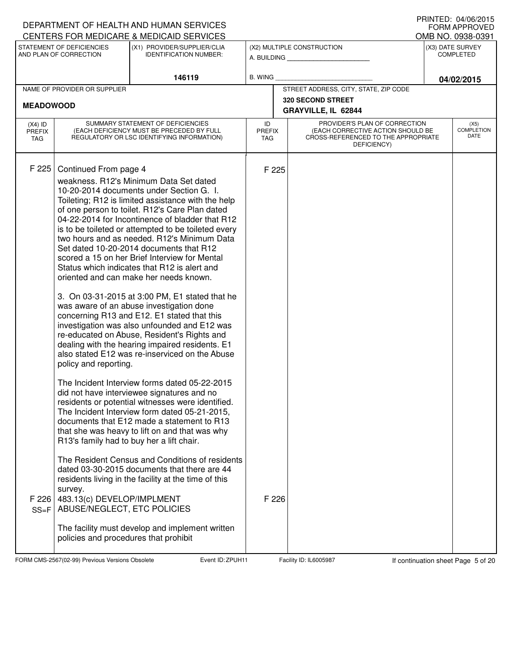| OMB NO. 0938-0391<br>(X3) DATE SURVEY<br><b>COMPLETED</b>                                                                                                         |
|-------------------------------------------------------------------------------------------------------------------------------------------------------------------|
|                                                                                                                                                                   |
|                                                                                                                                                                   |
| 04/02/2015                                                                                                                                                        |
|                                                                                                                                                                   |
|                                                                                                                                                                   |
| (X5)<br><b>COMPLETION</b><br><b>DATE</b>                                                                                                                          |
|                                                                                                                                                                   |
| STREET ADDRESS, CITY, STATE, ZIP CODE<br>PROVIDER'S PLAN OF CORRECTION<br>(EACH CORRECTIVE ACTION SHOULD BE<br>CROSS-REFERENCED TO THE APPROPRIATE<br>DEFICIENCY) |

FORM CMS-2567(02-99) Previous Versions Obsolete **Zapility Event ID: ZPUH11** Facility ID: IL6005987 If continuation sheet Page 5 of 20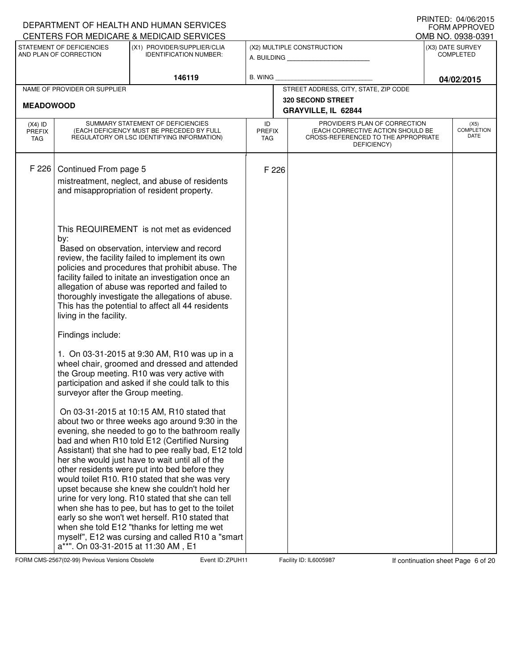|                                          |                                                     | DEPARTMENT OF HEALTH AND HUMAN SERVICES<br>CENTERS FOR MEDICARE & MEDICAID SERVICES                                                                                                                                                                                                                                                                                                                                                                                                                                                                                                                                                                                                                                              |                                   |       |                                                                                                                          |                                      | IIUINILLU. U≒/UU/ZUIJ<br><b>FORM APPROVED</b><br>OMB NO. 0938-0391 |
|------------------------------------------|-----------------------------------------------------|----------------------------------------------------------------------------------------------------------------------------------------------------------------------------------------------------------------------------------------------------------------------------------------------------------------------------------------------------------------------------------------------------------------------------------------------------------------------------------------------------------------------------------------------------------------------------------------------------------------------------------------------------------------------------------------------------------------------------------|-----------------------------------|-------|--------------------------------------------------------------------------------------------------------------------------|--------------------------------------|--------------------------------------------------------------------|
|                                          | STATEMENT OF DEFICIENCIES<br>AND PLAN OF CORRECTION | (X1) PROVIDER/SUPPLIER/CLIA<br><b>IDENTIFICATION NUMBER:</b>                                                                                                                                                                                                                                                                                                                                                                                                                                                                                                                                                                                                                                                                     |                                   |       | (X2) MULTIPLE CONSTRUCTION<br>A. BUILDING <b>A.</b> BUILDING                                                             | (X3) DATE SURVEY<br><b>COMPLETED</b> |                                                                    |
|                                          |                                                     | 146119                                                                                                                                                                                                                                                                                                                                                                                                                                                                                                                                                                                                                                                                                                                           | <b>B. WING</b>                    |       |                                                                                                                          |                                      | 04/02/2015                                                         |
|                                          | NAME OF PROVIDER OR SUPPLIER                        |                                                                                                                                                                                                                                                                                                                                                                                                                                                                                                                                                                                                                                                                                                                                  |                                   |       | STREET ADDRESS, CITY, STATE, ZIP CODE                                                                                    |                                      |                                                                    |
| <b>MEADOWOOD</b>                         |                                                     |                                                                                                                                                                                                                                                                                                                                                                                                                                                                                                                                                                                                                                                                                                                                  |                                   |       | 320 SECOND STREET<br>GRAYVILLE, IL 62844                                                                                 |                                      |                                                                    |
| $(X4)$ ID<br><b>PREFIX</b><br><b>TAG</b> |                                                     | SUMMARY STATEMENT OF DEFICIENCIES<br>(EACH DEFICIENCY MUST BE PRECEDED BY FULL<br>REGULATORY OR LSC IDENTIFYING INFORMATION)                                                                                                                                                                                                                                                                                                                                                                                                                                                                                                                                                                                                     | ID<br><b>PREFIX</b><br><b>TAG</b> |       | PROVIDER'S PLAN OF CORRECTION<br>(EACH CORRECTIVE ACTION SHOULD BE<br>CROSS-REFERENCED TO THE APPROPRIATE<br>DEFICIENCY) |                                      | (X5)<br><b>COMPLETION</b><br>DATE                                  |
| F 226                                    | Continued From page 5                               | mistreatment, neglect, and abuse of residents<br>and misappropriation of resident property.                                                                                                                                                                                                                                                                                                                                                                                                                                                                                                                                                                                                                                      |                                   | F 226 |                                                                                                                          |                                      |                                                                    |
|                                          | by:<br>living in the facility.                      | This REQUIREMENT is not met as evidenced<br>Based on observation, interview and record<br>review, the facility failed to implement its own<br>policies and procedures that prohibit abuse. The<br>facility failed to initate an investigation once an<br>allegation of abuse was reported and failed to<br>thoroughly investigate the allegations of abuse.<br>This has the potential to affect all 44 residents                                                                                                                                                                                                                                                                                                                 |                                   |       |                                                                                                                          |                                      |                                                                    |
|                                          | Findings include:                                   |                                                                                                                                                                                                                                                                                                                                                                                                                                                                                                                                                                                                                                                                                                                                  |                                   |       |                                                                                                                          |                                      |                                                                    |
|                                          | surveyor after the Group meeting.                   | 1. On 03-31-2015 at 9:30 AM, R10 was up in a<br>wheel chair, groomed and dressed and attended<br>the Group meeting. R10 was very active with<br>participation and asked if she could talk to this                                                                                                                                                                                                                                                                                                                                                                                                                                                                                                                                |                                   |       |                                                                                                                          |                                      |                                                                    |
|                                          | a**". On 03-31-2015 at 11:30 AM, E1                 | On 03-31-2015 at 10:15 AM, R10 stated that<br>about two or three weeks ago around 9:30 in the<br>evening, she needed to go to the bathroom really<br>bad and when R10 told E12 (Certified Nursing<br>Assistant) that she had to pee really bad, E12 told<br>her she would just have to wait until all of the<br>other residents were put into bed before they<br>would toilet R10. R10 stated that she was very<br>upset because she knew she couldn't hold her<br>urine for very long. R10 stated that she can tell<br>when she has to pee, but has to get to the toilet<br>early so she won't wet herself. R10 stated that<br>when she told E12 "thanks for letting me wet<br>myself", E12 was cursing and called R10 a "smart |                                   |       |                                                                                                                          |                                      |                                                                    |

FORM CMS-2567(02-99) Previous Versions Obsolete **Zapul Event ID: ZPUH11** Facility ID: IL6005987 If continuation sheet Page 6 of 20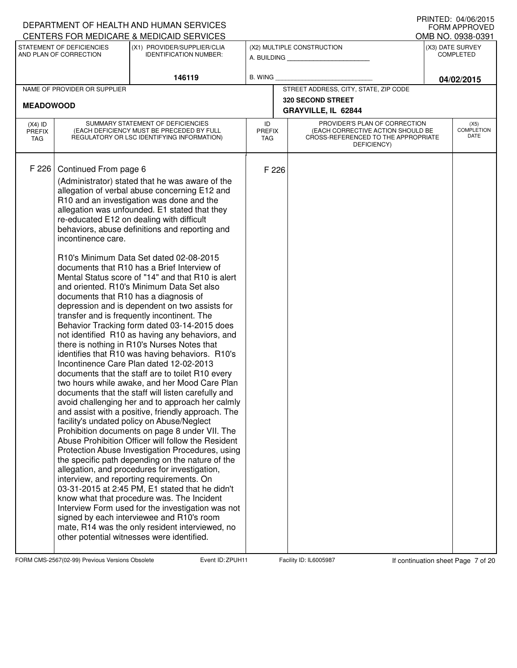## A. BUILDING **\_\_\_\_\_\_\_\_\_\_\_\_\_\_\_\_\_\_\_\_\_\_** (X1) PROVIDER/SUPPLIER/CLIA IDENTIFICATION NUMBER: STATEMENT OF DEFICIENCIES AND PLAN OF CORRECTION (X3) DATE SURVEY COMPLETED FORM APPROVED<br>OMB NO. 0938-0391 (X2) MULTIPLE CONSTRUCTION B. WING CENTERS FOR MEDICARE & MEDICAID SERVICES **146119 04/02/2015** NAME OF PROVIDER OR SUPPLIER STREET ADDRESS, CITY, STATE, ZIP CODE **320 SECOND STREET MEADOWOOD GRAYVILLE, IL 62844** PROVIDER'S PLAN OF CORRECTION (EACH CORRECTIVE ACTION SHOULD BE CROSS-REFERENCED TO THE APPROPRIATE DEFICIENCY) (X5) **COMPLETION** DATE ID PREFIX TAG (X4) ID PREFIX TAG SUMMARY STATEMENT OF DEFICIENCIES (EACH DEFICIENCY MUST BE PRECEDED BY FULL REGULATORY OR LSC IDENTIFYING INFORMATION) F 226 Continued From page 6 F 226 (Administrator) stated that he was aware of the allegation of verbal abuse concerning E12 and R10 and an investigation was done and the allegation was unfounded. E1 stated that they re-educated E12 on dealing with difficult behaviors, abuse definitions and reporting and incontinence care. R10's Minimum Data Set dated 02-08-2015 documents that R10 has a Brief Interview of Mental Status score of "14" and that R10 is alert and oriented. R10's Minimum Data Set also documents that R10 has a diagnosis of depression and is dependent on two assists for transfer and is frequently incontinent. The Behavior Tracking form dated 03-14-2015 does not identified R10 as having any behaviors, and there is nothing in R10's Nurses Notes that identifies that R10 was having behaviors. R10's Incontinence Care Plan dated 12-02-2013 documents that the staff are to toilet R10 every two hours while awake, and her Mood Care Plan documents that the staff will listen carefully and avoid challenging her and to approach her calmly and assist with a positive, friendly approach. The facility's undated policy on Abuse/Neglect Prohibition documents on page 8 under VII. The Abuse Prohibition Officer will follow the Resident Protection Abuse Investigation Procedures, using the specific path depending on the nature of the allegation, and procedures for investigation, interview, and reporting requirements. On 03-31-2015 at 2:45 PM, E1 stated that he didn't know what that procedure was. The Incident Interview Form used for the investigation was not signed by each interviewee and R10's room mate, R14 was the only resident interviewed, no other potential witnesses were identified.

FORM CMS-2567(02-99) Previous Versions Obsolete **Zapul Event ID: 2PUH11** Facility ID: IL6005987 If continuation sheet Page 7 of 20

DEPARTMENT OF HEALTH AND HUMAN SERVICES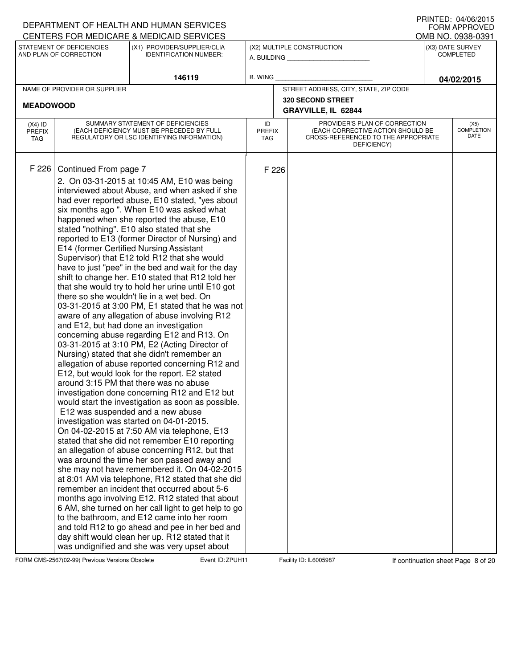#### A. BUILDING **\_\_\_\_\_\_\_\_\_\_\_\_\_\_\_\_\_\_\_\_\_\_** (X1) PROVIDER/SUPPLIER/CLIA IDENTIFICATION NUMBER: STATEMENT OF DEFICIENCIES AND PLAN OF CORRECTION (X3) DATE SURVEY COMPLETED FORM APPROVED<br>OMB NO. 0938-0391 (X2) MULTIPLE CONSTRUCTION B. WING CENTERS FOR MEDICARE & MEDICAID SERVICES **146119 04/02/2015** NAME OF PROVIDER OR SUPPLIER STREET ADDRESS, CITY, STATE, ZIP CODE **320 SECOND STREET MEADOWOOD GRAYVILLE, IL 62844** PROVIDER'S PLAN OF CORRECTION (EACH CORRECTIVE ACTION SHOULD BE CROSS-REFERENCED TO THE APPROPRIATE DEFICIENCY) (X5) **COMPLETION** DATE ID PREFIX TAG (X4) ID PREFIX TAG SUMMARY STATEMENT OF DEFICIENCIES (EACH DEFICIENCY MUST BE PRECEDED BY FULL REGULATORY OR LSC IDENTIFYING INFORMATION) F 226 Continued From page 7 F 226 2. On 03-31-2015 at 10:45 AM, E10 was being interviewed about Abuse, and when asked if she had ever reported abuse, E10 stated, "yes about six months ago ". When E10 was asked what happened when she reported the abuse, E10 stated "nothing". E10 also stated that she reported to E13 (former Director of Nursing) and E14 (former Certified Nursing Assistant Supervisor) that E12 told R12 that she would have to just "pee" in the bed and wait for the day shift to change her. E10 stated that R12 told her that she would try to hold her urine until E10 got there so she wouldn't lie in a wet bed. On 03-31-2015 at 3:00 PM, E1 stated that he was not aware of any allegation of abuse involving R12 and E12, but had done an investigation concerning abuse regarding E12 and R13. On 03-31-2015 at 3:10 PM, E2 (Acting Director of Nursing) stated that she didn't remember an allegation of abuse reported concerning R12 and E12, but would look for the report. E2 stated around 3:15 PM that there was no abuse investigation done concerning R12 and E12 but would start the investigation as soon as possible. E12 was suspended and a new abuse investigation was started on 04-01-2015. On 04-02-2015 at 7:50 AM via telephone, E13 stated that she did not remember E10 reporting an allegation of abuse concerning R12, but that was around the time her son passed away and she may not have remembered it. On 04-02-2015 at 8:01 AM via telephone, R12 stated that she did remember an incident that occurred about 5-6 months ago involving E12. R12 stated that about 6 AM, she turned on her call light to get help to go to the bathroom, and E12 came into her room and told R12 to go ahead and pee in her bed and day shift would clean her up. R12 stated that it was undignified and she was very upset about

FORM CMS-2567(02-99) Previous Versions Obsolete **ZPUH Event ID: 2PUH11** Facility ID: IL6005987 If continuation sheet Page 8 of 20

DEPARTMENT OF HEALTH AND HUMAN SERVICES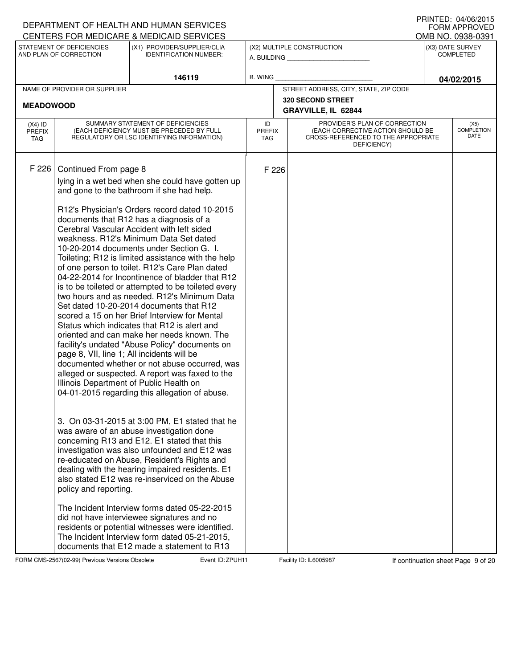| DEPARTMENT OF HEALTH AND HUMAN SERVICES<br>CENTERS FOR MEDICARE & MEDICAID SERVICES                                                                                                                                                                                                                                                                                                                                                                                                                                                                                                                                                                                                                                                                                                                                                                                                                                                                                                                                                                                                                                                                                                                                                                                                                                                                                                                                                                                                                                                                                                                                                                                                                                                                      |                                   | IIIIIIILU. UH/UU/LUIJ<br><b>FORM APPROVED</b><br>OMB NO. 0938-0391 |                                                                                                                          |  |                                      |  |  |  |
|----------------------------------------------------------------------------------------------------------------------------------------------------------------------------------------------------------------------------------------------------------------------------------------------------------------------------------------------------------------------------------------------------------------------------------------------------------------------------------------------------------------------------------------------------------------------------------------------------------------------------------------------------------------------------------------------------------------------------------------------------------------------------------------------------------------------------------------------------------------------------------------------------------------------------------------------------------------------------------------------------------------------------------------------------------------------------------------------------------------------------------------------------------------------------------------------------------------------------------------------------------------------------------------------------------------------------------------------------------------------------------------------------------------------------------------------------------------------------------------------------------------------------------------------------------------------------------------------------------------------------------------------------------------------------------------------------------------------------------------------------------|-----------------------------------|--------------------------------------------------------------------|--------------------------------------------------------------------------------------------------------------------------|--|--------------------------------------|--|--|--|
| STATEMENT OF DEFICIENCIES<br>(X1) PROVIDER/SUPPLIER/CLIA<br>AND PLAN OF CORRECTION<br><b>IDENTIFICATION NUMBER:</b>                                                                                                                                                                                                                                                                                                                                                                                                                                                                                                                                                                                                                                                                                                                                                                                                                                                                                                                                                                                                                                                                                                                                                                                                                                                                                                                                                                                                                                                                                                                                                                                                                                      |                                   |                                                                    | (X2) MULTIPLE CONSTRUCTION<br>A. BUILDING                                                                                |  | (X3) DATE SURVEY<br><b>COMPLETED</b> |  |  |  |
| 146119                                                                                                                                                                                                                                                                                                                                                                                                                                                                                                                                                                                                                                                                                                                                                                                                                                                                                                                                                                                                                                                                                                                                                                                                                                                                                                                                                                                                                                                                                                                                                                                                                                                                                                                                                   | <b>B. WING</b>                    |                                                                    |                                                                                                                          |  | 04/02/2015                           |  |  |  |
| NAME OF PROVIDER OR SUPPLIER<br><b>MEADOWOOD</b>                                                                                                                                                                                                                                                                                                                                                                                                                                                                                                                                                                                                                                                                                                                                                                                                                                                                                                                                                                                                                                                                                                                                                                                                                                                                                                                                                                                                                                                                                                                                                                                                                                                                                                         |                                   |                                                                    | STREET ADDRESS, CITY, STATE, ZIP CODE<br><b>320 SECOND STREET</b><br>GRAYVILLE, IL 62844                                 |  |                                      |  |  |  |
| SUMMARY STATEMENT OF DEFICIENCIES<br>$(X4)$ ID<br>(EACH DEFICIENCY MUST BE PRECEDED BY FULL<br><b>PREFIX</b><br>REGULATORY OR LSC IDENTIFYING INFORMATION)<br>TAG                                                                                                                                                                                                                                                                                                                                                                                                                                                                                                                                                                                                                                                                                                                                                                                                                                                                                                                                                                                                                                                                                                                                                                                                                                                                                                                                                                                                                                                                                                                                                                                        | ID<br><b>PREFIX</b><br><b>TAG</b> |                                                                    | PROVIDER'S PLAN OF CORRECTION<br>(EACH CORRECTIVE ACTION SHOULD BE<br>CROSS-REFERENCED TO THE APPROPRIATE<br>DEFICIENCY) |  | (X5)<br><b>COMPLETION</b><br>DATE    |  |  |  |
| F 226<br>Continued From page 8<br>lying in a wet bed when she could have gotten up<br>and gone to the bathroom if she had help.<br>R12's Physician's Orders record dated 10-2015<br>documents that R12 has a diagnosis of a<br>Cerebral Vascular Accident with left sided<br>weakness. R12's Minimum Data Set dated<br>10-20-2014 documents under Section G. I.<br>Toileting; R12 is limited assistance with the help<br>of one person to toilet. R12's Care Plan dated<br>04-22-2014 for Incontinence of bladder that R12<br>is to be toileted or attempted to be toileted every<br>two hours and as needed. R12's Minimum Data<br>Set dated 10-20-2014 documents that R12<br>scored a 15 on her Brief Interview for Mental<br>Status which indicates that R12 is alert and<br>oriented and can make her needs known. The<br>facility's undated "Abuse Policy" documents on<br>page 8, VII, line 1; All incidents will be<br>documented whether or not abuse occurred, was<br>alleged or suspected. A report was faxed to the<br>Illinois Department of Public Health on<br>04-01-2015 regarding this allegation of abuse.<br>3. On 03-31-2015 at 3:00 PM, E1 stated that he<br>was aware of an abuse investigation done<br>concerning R13 and E12. E1 stated that this<br>investigation was also unfounded and E12 was<br>re-educated on Abuse, Resident's Rights and<br>dealing with the hearing impaired residents. E1<br>also stated E12 was re-inserviced on the Abuse<br>policy and reporting.<br>The Incident Interview forms dated 05-22-2015<br>did not have interviewee signatures and no<br>residents or potential witnesses were identified.<br>The Incident Interview form dated 05-21-2015,<br>documents that E12 made a statement to R13 |                                   | F 226                                                              |                                                                                                                          |  |                                      |  |  |  |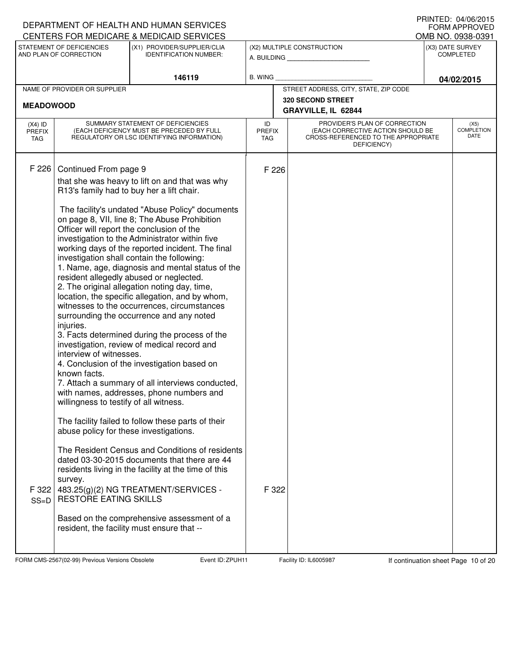|                                          |                                                                                                                                                                                                                                                                                                        | DEPARTMENT OF HEALTH AND HUMAN SERVICES<br>CENTERS FOR MEDICARE & MEDICAID SERVICES                                                                                                                                                                                                                                                                                                                                                                                                                                                                                                                                                                                                                                                                                                                                                                                                                                                                                                                                                                                                                                                                                                                     |                                   |                                                                                                                          | IIUINILLU. U≒/UU/ZUIJ<br><b>FORM APPROVED</b><br>OMB NO. 0938-0391 |
|------------------------------------------|--------------------------------------------------------------------------------------------------------------------------------------------------------------------------------------------------------------------------------------------------------------------------------------------------------|---------------------------------------------------------------------------------------------------------------------------------------------------------------------------------------------------------------------------------------------------------------------------------------------------------------------------------------------------------------------------------------------------------------------------------------------------------------------------------------------------------------------------------------------------------------------------------------------------------------------------------------------------------------------------------------------------------------------------------------------------------------------------------------------------------------------------------------------------------------------------------------------------------------------------------------------------------------------------------------------------------------------------------------------------------------------------------------------------------------------------------------------------------------------------------------------------------|-----------------------------------|--------------------------------------------------------------------------------------------------------------------------|--------------------------------------------------------------------|
|                                          | STATEMENT OF DEFICIENCIES<br>AND PLAN OF CORRECTION                                                                                                                                                                                                                                                    | (X1) PROVIDER/SUPPLIER/CLIA<br><b>IDENTIFICATION NUMBER:</b>                                                                                                                                                                                                                                                                                                                                                                                                                                                                                                                                                                                                                                                                                                                                                                                                                                                                                                                                                                                                                                                                                                                                            |                                   | (X2) MULTIPLE CONSTRUCTION<br>A. BUILDING                                                                                | (X3) DATE SURVEY<br><b>COMPLETED</b>                               |
|                                          |                                                                                                                                                                                                                                                                                                        | 146119                                                                                                                                                                                                                                                                                                                                                                                                                                                                                                                                                                                                                                                                                                                                                                                                                                                                                                                                                                                                                                                                                                                                                                                                  | <b>B. WING</b>                    |                                                                                                                          | 04/02/2015                                                         |
|                                          | NAME OF PROVIDER OR SUPPLIER                                                                                                                                                                                                                                                                           |                                                                                                                                                                                                                                                                                                                                                                                                                                                                                                                                                                                                                                                                                                                                                                                                                                                                                                                                                                                                                                                                                                                                                                                                         |                                   | STREET ADDRESS, CITY, STATE, ZIP CODE                                                                                    |                                                                    |
| <b>MEADOWOOD</b>                         |                                                                                                                                                                                                                                                                                                        |                                                                                                                                                                                                                                                                                                                                                                                                                                                                                                                                                                                                                                                                                                                                                                                                                                                                                                                                                                                                                                                                                                                                                                                                         |                                   | <b>320 SECOND STREET</b><br>GRAYVILLE, IL 62844                                                                          |                                                                    |
| $(X4)$ ID<br><b>PREFIX</b><br><b>TAG</b> |                                                                                                                                                                                                                                                                                                        | SUMMARY STATEMENT OF DEFICIENCIES<br>(EACH DEFICIENCY MUST BE PRECEDED BY FULL<br>REGULATORY OR LSC IDENTIFYING INFORMATION)                                                                                                                                                                                                                                                                                                                                                                                                                                                                                                                                                                                                                                                                                                                                                                                                                                                                                                                                                                                                                                                                            | ID<br><b>PREFIX</b><br><b>TAG</b> | PROVIDER'S PLAN OF CORRECTION<br>(EACH CORRECTIVE ACTION SHOULD BE<br>CROSS-REFERENCED TO THE APPROPRIATE<br>DEFICIENCY) | (X5)<br><b>COMPLETION</b><br>DATE                                  |
| F 226<br>F 322<br>$SS=D$                 | Continued From page 9<br>R13's family had to buy her a lift chair.<br>Officer will report the conclusion of the<br>injuries.<br>interview of witnesses.<br>known facts.<br>willingness to testify of all witness.<br>abuse policy for these investigations.<br>survey.<br><b>RESTORE EATING SKILLS</b> | that she was heavy to lift on and that was why<br>The facility's undated "Abuse Policy" documents<br>on page 8, VII, line 8; The Abuse Prohibition<br>investigation to the Administrator within five<br>working days of the reported incident. The final<br>investigation shall contain the following:<br>1. Name, age, diagnosis and mental status of the<br>resident allegedly abused or neglected.<br>2. The original allegation noting day, time,<br>location, the specific allegation, and by whom,<br>witnesses to the occurrences, circumstances<br>surrounding the occurrence and any noted<br>3. Facts determined during the process of the<br>investigation, review of medical record and<br>4. Conclusion of the investigation based on<br>7. Attach a summary of all interviews conducted,<br>with names, addresses, phone numbers and<br>The facility failed to follow these parts of their<br>The Resident Census and Conditions of residents<br>dated 03-30-2015 documents that there are 44<br>residents living in the facility at the time of this<br>483.25(g)(2) NG TREATMENT/SERVICES -<br>Based on the comprehensive assessment of a<br>resident, the facility must ensure that -- | F 226<br>F 322                    |                                                                                                                          |                                                                    |

FORM CMS-2567(02-99) Previous Versions Obsolete **ZPUH Event ID: ZPUH11** Facility ID: IL6005987 If continuation sheet Page 10 of 20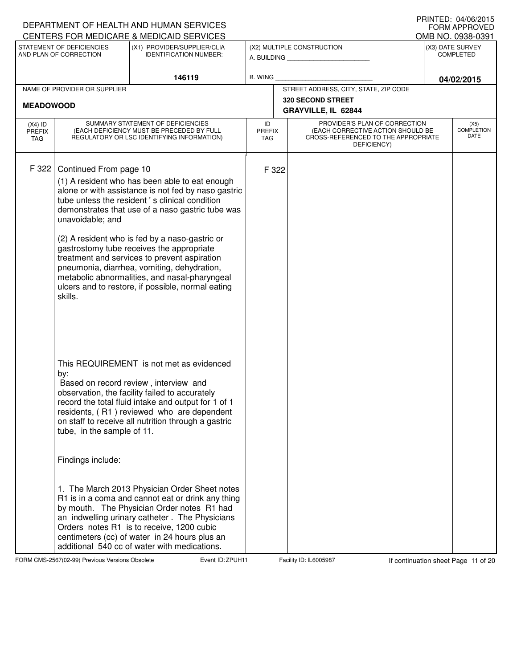|                                          |                                                        | DEPARTMENT OF HEALTH AND HUMAN SERVICES<br>CENTERS FOR MEDICARE & MEDICAID SERVICES                                                                                                                                                                                                                                                                                                                                                                                                                                                                                                                                                                 |                                   |                                                                                                                          | IIUINILLU. U≒/UU/ZUIJ<br><b>FORM APPROVED</b><br>OMB NO. 0938-0391 |
|------------------------------------------|--------------------------------------------------------|-----------------------------------------------------------------------------------------------------------------------------------------------------------------------------------------------------------------------------------------------------------------------------------------------------------------------------------------------------------------------------------------------------------------------------------------------------------------------------------------------------------------------------------------------------------------------------------------------------------------------------------------------------|-----------------------------------|--------------------------------------------------------------------------------------------------------------------------|--------------------------------------------------------------------|
|                                          | STATEMENT OF DEFICIENCIES<br>AND PLAN OF CORRECTION    | (X1) PROVIDER/SUPPLIER/CLIA<br><b>IDENTIFICATION NUMBER:</b>                                                                                                                                                                                                                                                                                                                                                                                                                                                                                                                                                                                        |                                   | (X2) MULTIPLE CONSTRUCTION<br>A. BUILDING AND AN INCOME.                                                                 | (X3) DATE SURVEY<br><b>COMPLETED</b>                               |
|                                          |                                                        | 146119                                                                                                                                                                                                                                                                                                                                                                                                                                                                                                                                                                                                                                              | <b>B. WING</b>                    |                                                                                                                          | 04/02/2015                                                         |
|                                          | NAME OF PROVIDER OR SUPPLIER                           |                                                                                                                                                                                                                                                                                                                                                                                                                                                                                                                                                                                                                                                     |                                   | STREET ADDRESS, CITY, STATE, ZIP CODE                                                                                    |                                                                    |
| <b>MEADOWOOD</b>                         |                                                        |                                                                                                                                                                                                                                                                                                                                                                                                                                                                                                                                                                                                                                                     |                                   | <b>320 SECOND STREET</b><br>GRAYVILLE, IL 62844                                                                          |                                                                    |
| $(X4)$ ID<br><b>PREFIX</b><br><b>TAG</b> |                                                        | SUMMARY STATEMENT OF DEFICIENCIES<br>(EACH DEFICIENCY MUST BE PRECEDED BY FULL<br>REGULATORY OR LSC IDENTIFYING INFORMATION)                                                                                                                                                                                                                                                                                                                                                                                                                                                                                                                        | ID<br><b>PREFIX</b><br><b>TAG</b> | PROVIDER'S PLAN OF CORRECTION<br>(EACH CORRECTIVE ACTION SHOULD BE<br>CROSS-REFERENCED TO THE APPROPRIATE<br>DEFICIENCY) | (X5)<br><b>COMPLETION</b><br><b>DATE</b>                           |
| F 322                                    | Continued From page 10<br>unavoidable; and<br>skills.  | (1) A resident who has been able to eat enough<br>alone or with assistance is not fed by naso gastric<br>tube unless the resident 's clinical condition<br>demonstrates that use of a naso gastric tube was<br>(2) A resident who is fed by a naso-gastric or<br>gastrostomy tube receives the appropriate<br>treatment and services to prevent aspiration<br>pneumonia, diarrhea, vomiting, dehydration,<br>metabolic abnormalities, and nasal-pharyngeal<br>ulcers and to restore, if possible, normal eating                                                                                                                                     | F 322                             |                                                                                                                          |                                                                    |
|                                          | by:<br>tube, in the sample of 11.<br>Findings include: | This REQUIREMENT is not met as evidenced<br>Based on record review, interview and<br>observation, the facility failed to accurately<br>record the total fluid intake and output for 1 of 1<br>residents, (R1) reviewed who are dependent<br>on staff to receive all nutrition through a gastric<br>1. The March 2013 Physician Order Sheet notes<br>R1 is in a coma and cannot eat or drink any thing<br>by mouth. The Physician Order notes R1 had<br>an indwelling urinary catheter. The Physicians<br>Orders notes R1 is to receive, 1200 cubic<br>centimeters (cc) of water in 24 hours plus an<br>additional 540 cc of water with medications. |                                   |                                                                                                                          |                                                                    |

FORM CMS-2567(02-99) Previous Versions Obsolete **ZAPUH Event ID: ZPUH11** Facility ID: IL6005987 If continuation sheet Page 11 of 20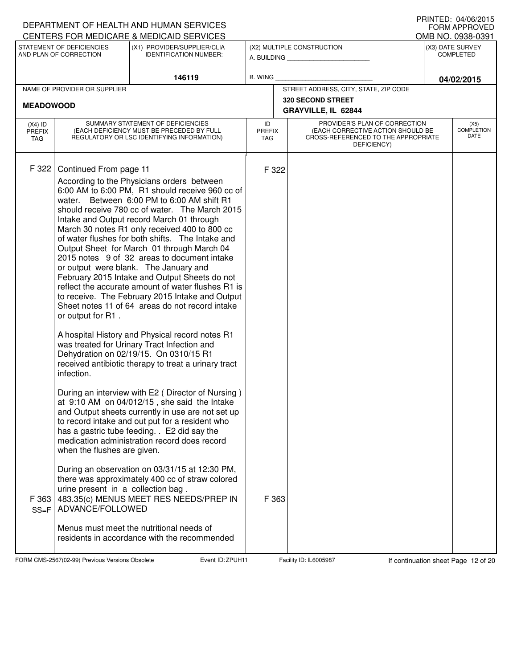|                                   |                                                                                                                                                    | DEPARTMENT OF HEALTH AND HUMAN SERVICES                                                                                                                                                                                                                                                                                                                                                                                                                                                                                                                                                                                                                                                                                                                                                                                                                                                                                                                                                                                                                                                                                                                                                                                                                                                                                                                            |                                   |                                                                                                                          | <b>FORM APPROVED</b>                  |
|-----------------------------------|----------------------------------------------------------------------------------------------------------------------------------------------------|--------------------------------------------------------------------------------------------------------------------------------------------------------------------------------------------------------------------------------------------------------------------------------------------------------------------------------------------------------------------------------------------------------------------------------------------------------------------------------------------------------------------------------------------------------------------------------------------------------------------------------------------------------------------------------------------------------------------------------------------------------------------------------------------------------------------------------------------------------------------------------------------------------------------------------------------------------------------------------------------------------------------------------------------------------------------------------------------------------------------------------------------------------------------------------------------------------------------------------------------------------------------------------------------------------------------------------------------------------------------|-----------------------------------|--------------------------------------------------------------------------------------------------------------------------|---------------------------------------|
|                                   | STATEMENT OF DEFICIENCIES                                                                                                                          | CENTERS FOR MEDICARE & MEDICAID SERVICES<br>(X1) PROVIDER/SUPPLIER/CLIA                                                                                                                                                                                                                                                                                                                                                                                                                                                                                                                                                                                                                                                                                                                                                                                                                                                                                                                                                                                                                                                                                                                                                                                                                                                                                            |                                   | (X2) MULTIPLE CONSTRUCTION                                                                                               | OMB NO. 0938-0391<br>(X3) DATE SURVEY |
|                                   | AND PLAN OF CORRECTION                                                                                                                             | <b>IDENTIFICATION NUMBER:</b>                                                                                                                                                                                                                                                                                                                                                                                                                                                                                                                                                                                                                                                                                                                                                                                                                                                                                                                                                                                                                                                                                                                                                                                                                                                                                                                                      |                                   | A. BUILDING                                                                                                              | <b>COMPLETED</b>                      |
|                                   |                                                                                                                                                    | 146119                                                                                                                                                                                                                                                                                                                                                                                                                                                                                                                                                                                                                                                                                                                                                                                                                                                                                                                                                                                                                                                                                                                                                                                                                                                                                                                                                             | B. WING                           |                                                                                                                          | 04/02/2015                            |
|                                   | NAME OF PROVIDER OR SUPPLIER                                                                                                                       |                                                                                                                                                                                                                                                                                                                                                                                                                                                                                                                                                                                                                                                                                                                                                                                                                                                                                                                                                                                                                                                                                                                                                                                                                                                                                                                                                                    |                                   | STREET ADDRESS, CITY, STATE, ZIP CODE                                                                                    |                                       |
| <b>MEADOWOOD</b>                  |                                                                                                                                                    |                                                                                                                                                                                                                                                                                                                                                                                                                                                                                                                                                                                                                                                                                                                                                                                                                                                                                                                                                                                                                                                                                                                                                                                                                                                                                                                                                                    |                                   | 320 SECOND STREET<br>GRAYVILLE, IL 62844                                                                                 |                                       |
| $(X4)$ ID<br><b>PREFIX</b><br>TAG |                                                                                                                                                    | SUMMARY STATEMENT OF DEFICIENCIES<br>(EACH DEFICIENCY MUST BE PRECEDED BY FULL<br>REGULATORY OR LSC IDENTIFYING INFORMATION)                                                                                                                                                                                                                                                                                                                                                                                                                                                                                                                                                                                                                                                                                                                                                                                                                                                                                                                                                                                                                                                                                                                                                                                                                                       | ID<br><b>PREFIX</b><br><b>TAG</b> | PROVIDER'S PLAN OF CORRECTION<br>(EACH CORRECTIVE ACTION SHOULD BE<br>CROSS-REFERENCED TO THE APPROPRIATE<br>DEFICIENCY) | (X5)<br><b>COMPLETION</b><br>DATE     |
| F 322<br>F 363<br>$SS = F$        | Continued From page 11<br>or output for R1.<br>infection.<br>when the flushes are given.<br>urine present in a collection bag.<br>ADVANCE/FOLLOWED | According to the Physicians orders between<br>6:00 AM to 6:00 PM, R1 should receive 960 cc of<br>water. Between 6:00 PM to 6:00 AM shift R1<br>should receive 780 cc of water. The March 2015<br>Intake and Output record March 01 through<br>March 30 notes R1 only received 400 to 800 cc<br>of water flushes for both shifts. The Intake and<br>Output Sheet for March 01 through March 04<br>2015 notes 9 of 32 areas to document intake<br>or output were blank. The January and<br>February 2015 Intake and Output Sheets do not<br>reflect the accurate amount of water flushes R1 is<br>to receive. The February 2015 Intake and Output<br>Sheet notes 11 of 64 areas do not record intake<br>A hospital History and Physical record notes R1<br>was treated for Urinary Tract Infection and<br>Dehydration on 02/19/15. On 0310/15 R1<br>received antibiotic therapy to treat a urinary tract<br>During an interview with E2 (Director of Nursing)<br>at 9:10 AM on 04/012/15, she said the Intake<br>and Output sheets currently in use are not set up<br>to record intake and out put for a resident who<br>has a gastric tube feeding. . E2 did say the<br>medication administration record does record<br>During an observation on 03/31/15 at 12:30 PM,<br>there was approximately 400 cc of straw colored<br>483.35(c) MENUS MEET RES NEEDS/PREP IN | F 322<br>F 363                    |                                                                                                                          |                                       |
|                                   |                                                                                                                                                    | Menus must meet the nutritional needs of<br>residents in accordance with the recommended                                                                                                                                                                                                                                                                                                                                                                                                                                                                                                                                                                                                                                                                                                                                                                                                                                                                                                                                                                                                                                                                                                                                                                                                                                                                           |                                   |                                                                                                                          |                                       |

FORM CMS-2567(02-99) Previous Versions Obsolete **Zapility Event ID: ZPUH11** Facility ID: IL6005987 If continuation sheet Page 12 of 20

DEPARTMENT OF HEALTH AND HUMAN SERVICES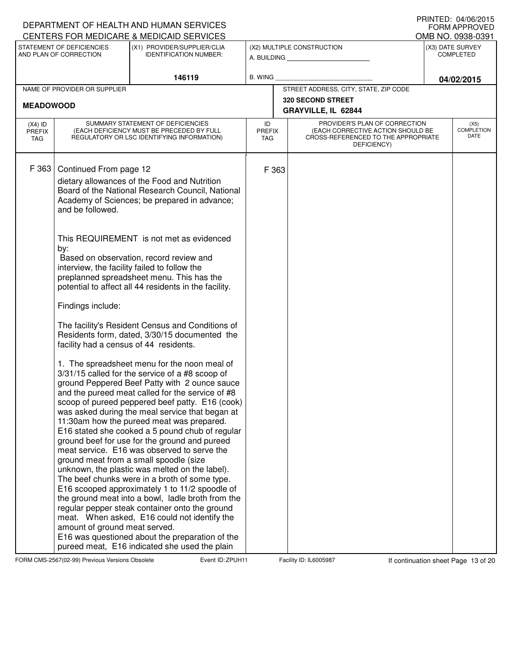|                                          |                                                     | DEPARTMENT OF HEALTH AND HUMAN SERVICES<br>CENTERS FOR MEDICARE & MEDICAID SERVICES                                                                                                                                                                                                                                                                                                                                                                                                                                                                                                                                                                                                                                                                                                                                                                                                                                                                                  |                                   |                                                                                                                          | IIUINILLU. U≒/UU/ZUIJ<br><b>FORM APPROVED</b><br>OMB NO. 0938-0391 |
|------------------------------------------|-----------------------------------------------------|----------------------------------------------------------------------------------------------------------------------------------------------------------------------------------------------------------------------------------------------------------------------------------------------------------------------------------------------------------------------------------------------------------------------------------------------------------------------------------------------------------------------------------------------------------------------------------------------------------------------------------------------------------------------------------------------------------------------------------------------------------------------------------------------------------------------------------------------------------------------------------------------------------------------------------------------------------------------|-----------------------------------|--------------------------------------------------------------------------------------------------------------------------|--------------------------------------------------------------------|
|                                          | STATEMENT OF DEFICIENCIES<br>AND PLAN OF CORRECTION | (X1) PROVIDER/SUPPLIER/CLIA<br><b>IDENTIFICATION NUMBER:</b>                                                                                                                                                                                                                                                                                                                                                                                                                                                                                                                                                                                                                                                                                                                                                                                                                                                                                                         |                                   | (X2) MULTIPLE CONSTRUCTION<br>A. BUILDING <b>A.</b> BUILDING                                                             | (X3) DATE SURVEY<br><b>COMPLETED</b>                               |
|                                          |                                                     | 146119                                                                                                                                                                                                                                                                                                                                                                                                                                                                                                                                                                                                                                                                                                                                                                                                                                                                                                                                                               | <b>B. WING</b>                    |                                                                                                                          | 04/02/2015                                                         |
|                                          | NAME OF PROVIDER OR SUPPLIER                        |                                                                                                                                                                                                                                                                                                                                                                                                                                                                                                                                                                                                                                                                                                                                                                                                                                                                                                                                                                      |                                   | STREET ADDRESS, CITY, STATE, ZIP CODE                                                                                    |                                                                    |
| <b>MEADOWOOD</b>                         |                                                     |                                                                                                                                                                                                                                                                                                                                                                                                                                                                                                                                                                                                                                                                                                                                                                                                                                                                                                                                                                      |                                   | 320 SECOND STREET                                                                                                        |                                                                    |
|                                          |                                                     |                                                                                                                                                                                                                                                                                                                                                                                                                                                                                                                                                                                                                                                                                                                                                                                                                                                                                                                                                                      |                                   | GRAYVILLE, IL 62844                                                                                                      |                                                                    |
| $(X4)$ ID<br><b>PREFIX</b><br><b>TAG</b> |                                                     | SUMMARY STATEMENT OF DEFICIENCIES<br>(EACH DEFICIENCY MUST BE PRECEDED BY FULL<br>REGULATORY OR LSC IDENTIFYING INFORMATION)                                                                                                                                                                                                                                                                                                                                                                                                                                                                                                                                                                                                                                                                                                                                                                                                                                         | ID<br><b>PREFIX</b><br><b>TAG</b> | PROVIDER'S PLAN OF CORRECTION<br>(EACH CORRECTIVE ACTION SHOULD BE<br>CROSS-REFERENCED TO THE APPROPRIATE<br>DEFICIENCY) | (X5)<br><b>COMPLETION</b><br>DATE                                  |
| F 363                                    | Continued From page 12<br>and be followed.          | dietary allowances of the Food and Nutrition<br>Board of the National Research Council, National<br>Academy of Sciences; be prepared in advance;                                                                                                                                                                                                                                                                                                                                                                                                                                                                                                                                                                                                                                                                                                                                                                                                                     | F 363                             |                                                                                                                          |                                                                    |
|                                          | by:                                                 | This REQUIREMENT is not met as evidenced<br>Based on observation, record review and<br>interview, the facility failed to follow the<br>preplanned spreadsheet menu. This has the<br>potential to affect all 44 residents in the facility.                                                                                                                                                                                                                                                                                                                                                                                                                                                                                                                                                                                                                                                                                                                            |                                   |                                                                                                                          |                                                                    |
|                                          | Findings include:                                   |                                                                                                                                                                                                                                                                                                                                                                                                                                                                                                                                                                                                                                                                                                                                                                                                                                                                                                                                                                      |                                   |                                                                                                                          |                                                                    |
|                                          | facility had a census of 44 residents.              | The facility's Resident Census and Conditions of<br>Residents form, dated, 3/30/15 documented the                                                                                                                                                                                                                                                                                                                                                                                                                                                                                                                                                                                                                                                                                                                                                                                                                                                                    |                                   |                                                                                                                          |                                                                    |
|                                          | amount of ground meat served.                       | 1. The spreadsheet menu for the noon meal of<br>3/31/15 called for the service of a #8 scoop of<br>ground Peppered Beef Patty with 2 ounce sauce<br>and the pureed meat called for the service of #8<br>scoop of pureed peppered beef patty. E16 (cook)<br>was asked during the meal service that began at<br>11:30am how the pureed meat was prepared.<br>E16 stated she cooked a 5 pound chub of regular<br>ground beef for use for the ground and pureed<br>meat service. E16 was observed to serve the<br>ground meat from a small spoodle (size<br>unknown, the plastic was melted on the label).<br>The beef chunks were in a broth of some type.<br>E16 scooped approximately 1 to 11/2 spoodle of<br>the ground meat into a bowl, ladle broth from the<br>regular pepper steak container onto the ground<br>meat. When asked, E16 could not identify the<br>E16 was questioned about the preparation of the<br>pureed meat, E16 indicated she used the plain |                                   |                                                                                                                          |                                                                    |

FORM CMS-2567(02-99) Previous Versions Obsolete **ZPUH Event ID: ZPUH11** Facility ID: IL6005987 If continuation sheet Page 13 of 20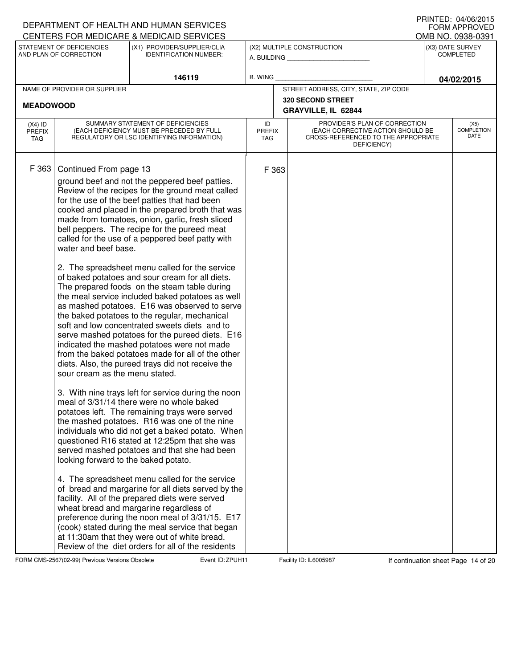|                                   |                                                                                                                          | DEPARTMENT OF HEALTH AND HUMAN SERVICES<br>CENTERS FOR MEDICARE & MEDICAID SERVICES                                                                                                                                                                                                                                                                                                                                                                                                                                                                                                                                                                                                                                                                                                                                                                                                                                                                                                                                                                                                                                                                                                                                                                                                                                                                                                                                                                                                                                                                                                                                                                                                                                   |                                   |       |                                                                                                                          | IIIIIIILD. ∪ <del>I</del> /UU/LUIJ<br><b>FORM APPROVED</b><br>OMB NO. 0938-0391 |
|-----------------------------------|--------------------------------------------------------------------------------------------------------------------------|-----------------------------------------------------------------------------------------------------------------------------------------------------------------------------------------------------------------------------------------------------------------------------------------------------------------------------------------------------------------------------------------------------------------------------------------------------------------------------------------------------------------------------------------------------------------------------------------------------------------------------------------------------------------------------------------------------------------------------------------------------------------------------------------------------------------------------------------------------------------------------------------------------------------------------------------------------------------------------------------------------------------------------------------------------------------------------------------------------------------------------------------------------------------------------------------------------------------------------------------------------------------------------------------------------------------------------------------------------------------------------------------------------------------------------------------------------------------------------------------------------------------------------------------------------------------------------------------------------------------------------------------------------------------------------------------------------------------------|-----------------------------------|-------|--------------------------------------------------------------------------------------------------------------------------|---------------------------------------------------------------------------------|
|                                   | STATEMENT OF DEFICIENCIES<br>AND PLAN OF CORRECTION                                                                      | (X1) PROVIDER/SUPPLIER/CLIA<br><b>IDENTIFICATION NUMBER:</b>                                                                                                                                                                                                                                                                                                                                                                                                                                                                                                                                                                                                                                                                                                                                                                                                                                                                                                                                                                                                                                                                                                                                                                                                                                                                                                                                                                                                                                                                                                                                                                                                                                                          |                                   |       | (X2) MULTIPLE CONSTRUCTION<br>A. BUILDING                                                                                | (X3) DATE SURVEY<br><b>COMPLETED</b>                                            |
|                                   |                                                                                                                          | 146119                                                                                                                                                                                                                                                                                                                                                                                                                                                                                                                                                                                                                                                                                                                                                                                                                                                                                                                                                                                                                                                                                                                                                                                                                                                                                                                                                                                                                                                                                                                                                                                                                                                                                                                | B. WING                           |       |                                                                                                                          | 04/02/2015                                                                      |
|                                   | NAME OF PROVIDER OR SUPPLIER                                                                                             |                                                                                                                                                                                                                                                                                                                                                                                                                                                                                                                                                                                                                                                                                                                                                                                                                                                                                                                                                                                                                                                                                                                                                                                                                                                                                                                                                                                                                                                                                                                                                                                                                                                                                                                       |                                   |       | STREET ADDRESS, CITY, STATE, ZIP CODE                                                                                    |                                                                                 |
| <b>MEADOWOOD</b>                  |                                                                                                                          |                                                                                                                                                                                                                                                                                                                                                                                                                                                                                                                                                                                                                                                                                                                                                                                                                                                                                                                                                                                                                                                                                                                                                                                                                                                                                                                                                                                                                                                                                                                                                                                                                                                                                                                       |                                   |       | <b>320 SECOND STREET</b><br>GRAYVILLE, IL 62844                                                                          |                                                                                 |
| $(X4)$ ID<br><b>PREFIX</b><br>TAG |                                                                                                                          | SUMMARY STATEMENT OF DEFICIENCIES<br>(EACH DEFICIENCY MUST BE PRECEDED BY FULL<br>REGULATORY OR LSC IDENTIFYING INFORMATION)                                                                                                                                                                                                                                                                                                                                                                                                                                                                                                                                                                                                                                                                                                                                                                                                                                                                                                                                                                                                                                                                                                                                                                                                                                                                                                                                                                                                                                                                                                                                                                                          | ID<br><b>PREFIX</b><br><b>TAG</b> |       | PROVIDER'S PLAN OF CORRECTION<br>(EACH CORRECTIVE ACTION SHOULD BE<br>CROSS-REFERENCED TO THE APPROPRIATE<br>DEFICIENCY) | (X5)<br><b>COMPLETION</b><br>DATE                                               |
| F 363                             | Continued From page 13<br>water and beef base.<br>sour cream as the menu stated.<br>looking forward to the baked potato. | ground beef and not the peppered beef patties.<br>Review of the recipes for the ground meat called<br>for the use of the beef patties that had been<br>cooked and placed in the prepared broth that was<br>made from tomatoes, onion, garlic, fresh sliced<br>bell peppers. The recipe for the pureed meat<br>called for the use of a peppered beef patty with<br>2. The spreadsheet menu called for the service<br>of baked potatoes and sour cream for all diets.<br>The prepared foods on the steam table during<br>the meal service included baked potatoes as well<br>as mashed potatoes. E16 was observed to serve<br>the baked potatoes to the regular, mechanical<br>soft and low concentrated sweets diets and to<br>serve mashed potatoes for the pureed diets. E16<br>indicated the mashed potatoes were not made<br>from the baked potatoes made for all of the other<br>diets. Also, the pureed trays did not receive the<br>3. With nine trays left for service during the noon<br>meal of 3/31/14 there were no whole baked<br>potatoes left. The remaining trays were served<br>the mashed potatoes. R16 was one of the nine<br>individuals who did not get a baked potato. When<br>questioned R16 stated at 12:25pm that she was<br>served mashed potatoes and that she had been<br>4. The spreadsheet menu called for the service<br>of bread and margarine for all diets served by the<br>facility. All of the prepared diets were served<br>wheat bread and margarine regardless of<br>preference during the noon meal of 3/31/15. E17<br>(cook) stated during the meal service that began<br>at 11:30am that they were out of white bread.<br>Review of the diet orders for all of the residents |                                   | F 363 |                                                                                                                          |                                                                                 |

FORM CMS-2567(02-99) Previous Versions Obsolete **Zapility Event ID: ZPUH11** Facility ID: IL6005987 If continuation sheet Page 14 of 20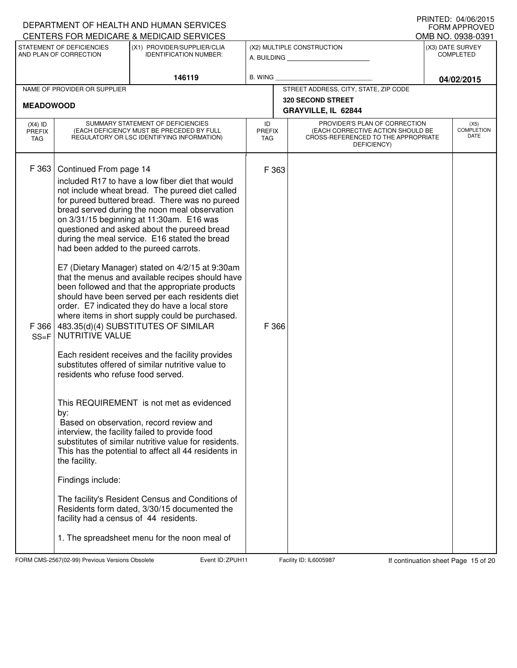|                                          |                                                                                                                                                                                                                | DEPARTMENT OF HEALTH AND HUMAN SERVICES<br>CENTERS FOR MEDICARE & MEDICAID SERVICES                                                                                                                                                                                                                                                                                                                                                                                                                                                                                                                                                                                                                                                                                                                                                                                                                                                                                                                                                                                                                                                                                                                                                |                                   |                                                                                                                          | IIIIIIILLU. UH/UU/LUIJ<br><b>FORM APPROVED</b><br>OMB NO. 0938-0391 |
|------------------------------------------|----------------------------------------------------------------------------------------------------------------------------------------------------------------------------------------------------------------|------------------------------------------------------------------------------------------------------------------------------------------------------------------------------------------------------------------------------------------------------------------------------------------------------------------------------------------------------------------------------------------------------------------------------------------------------------------------------------------------------------------------------------------------------------------------------------------------------------------------------------------------------------------------------------------------------------------------------------------------------------------------------------------------------------------------------------------------------------------------------------------------------------------------------------------------------------------------------------------------------------------------------------------------------------------------------------------------------------------------------------------------------------------------------------------------------------------------------------|-----------------------------------|--------------------------------------------------------------------------------------------------------------------------|---------------------------------------------------------------------|
|                                          | STATEMENT OF DEFICIENCIES<br>AND PLAN OF CORRECTION                                                                                                                                                            | (X1) PROVIDER/SUPPLIER/CLIA<br><b>IDENTIFICATION NUMBER:</b>                                                                                                                                                                                                                                                                                                                                                                                                                                                                                                                                                                                                                                                                                                                                                                                                                                                                                                                                                                                                                                                                                                                                                                       |                                   | (X2) MULTIPLE CONSTRUCTION<br>A. BUILDING                                                                                | (X3) DATE SURVEY<br><b>COMPLETED</b>                                |
|                                          |                                                                                                                                                                                                                | 146119                                                                                                                                                                                                                                                                                                                                                                                                                                                                                                                                                                                                                                                                                                                                                                                                                                                                                                                                                                                                                                                                                                                                                                                                                             | B. WING                           |                                                                                                                          | 04/02/2015                                                          |
| <b>MEADOWOOD</b>                         | NAME OF PROVIDER OR SUPPLIER                                                                                                                                                                                   |                                                                                                                                                                                                                                                                                                                                                                                                                                                                                                                                                                                                                                                                                                                                                                                                                                                                                                                                                                                                                                                                                                                                                                                                                                    |                                   | STREET ADDRESS, CITY, STATE, ZIP CODE<br>320 SECOND STREET<br>GRAYVILLE, IL 62844                                        |                                                                     |
| $(X4)$ ID<br><b>PREFIX</b><br><b>TAG</b> |                                                                                                                                                                                                                | SUMMARY STATEMENT OF DEFICIENCIES<br>(EACH DEFICIENCY MUST BE PRECEDED BY FULL<br>REGULATORY OR LSC IDENTIFYING INFORMATION)                                                                                                                                                                                                                                                                                                                                                                                                                                                                                                                                                                                                                                                                                                                                                                                                                                                                                                                                                                                                                                                                                                       | ID<br><b>PREFIX</b><br><b>TAG</b> | PROVIDER'S PLAN OF CORRECTION<br>(EACH CORRECTIVE ACTION SHOULD BE<br>CROSS-REFERENCED TO THE APPROPRIATE<br>DEFICIENCY) | (X5)<br><b>COMPLETION</b><br>DATE                                   |
| F 363<br>F 366<br>$SS = F$               | Continued From page 14<br>had been added to the pureed carrots.<br>NUTRITIVE VALUE<br>residents who refuse food served.<br>by:<br>the facility.<br>Findings include:<br>facility had a census of 44 residents. | included R17 to have a low fiber diet that would<br>not include wheat bread. The pureed diet called<br>for pureed buttered bread. There was no pureed<br>bread served during the noon meal observation<br>on 3/31/15 beginning at 11:30am. E16 was<br>questioned and asked about the pureed bread<br>during the meal service. E16 stated the bread<br>E7 (Dietary Manager) stated on 4/2/15 at 9:30am<br>that the menus and available recipes should have<br>been followed and that the appropriate products<br>should have been served per each residents diet<br>order. E7 indicated they do have a local store<br>where items in short supply could be purchased.<br>483.35(d)(4) SUBSTITUTES OF SIMILAR<br>Each resident receives and the facility provides<br>substitutes offered of similar nutritive value to<br>This REQUIREMENT is not met as evidenced<br>Based on observation, record review and<br>interview, the facility failed to provide food<br>substitutes of similar nutritive value for residents.<br>This has the potential to affect all 44 residents in<br>The facility's Resident Census and Conditions of<br>Residents form dated, 3/30/15 documented the<br>1. The spreadsheet menu for the noon meal of | F 363<br>F 366                    |                                                                                                                          |                                                                     |

FORM CMS-2567(02-99) Previous Versions Obsolete **ZPUH Event ID: ZPUH11** Facility ID: IL6005987 If continuation sheet Page 15 of 20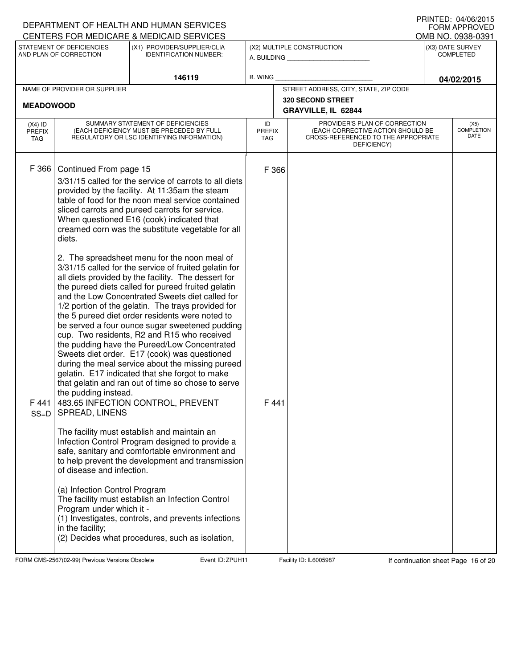|                                          |                                                                                                                                                                                          | DEPARTMENT OF HEALTH AND HUMAN SERVICES<br>CENTERS FOR MEDICARE & MEDICAID SERVICES                                                                                                                                                                                                                                                                                                                                                                                                                                                                                                                                                                                                                                                                                                                                                                                                                                                                                                                                                                                                                                                                                                                                                                                                                                                                                                                                                                                         | U INIVILLU. UH/UU/LUIJ<br>FORM APPROVED<br>OMB NO. 0938-0391 |                                                                                                                          |  |                                      |  |  |
|------------------------------------------|------------------------------------------------------------------------------------------------------------------------------------------------------------------------------------------|-----------------------------------------------------------------------------------------------------------------------------------------------------------------------------------------------------------------------------------------------------------------------------------------------------------------------------------------------------------------------------------------------------------------------------------------------------------------------------------------------------------------------------------------------------------------------------------------------------------------------------------------------------------------------------------------------------------------------------------------------------------------------------------------------------------------------------------------------------------------------------------------------------------------------------------------------------------------------------------------------------------------------------------------------------------------------------------------------------------------------------------------------------------------------------------------------------------------------------------------------------------------------------------------------------------------------------------------------------------------------------------------------------------------------------------------------------------------------------|--------------------------------------------------------------|--------------------------------------------------------------------------------------------------------------------------|--|--------------------------------------|--|--|
|                                          | STATEMENT OF DEFICIENCIES<br>AND PLAN OF CORRECTION                                                                                                                                      | (X1) PROVIDER/SUPPLIER/CLIA<br><b>IDENTIFICATION NUMBER:</b>                                                                                                                                                                                                                                                                                                                                                                                                                                                                                                                                                                                                                                                                                                                                                                                                                                                                                                                                                                                                                                                                                                                                                                                                                                                                                                                                                                                                                |                                                              | (X2) MULTIPLE CONSTRUCTION<br>A. BUILDING                                                                                |  | (X3) DATE SURVEY<br><b>COMPLETED</b> |  |  |
|                                          |                                                                                                                                                                                          | 146119                                                                                                                                                                                                                                                                                                                                                                                                                                                                                                                                                                                                                                                                                                                                                                                                                                                                                                                                                                                                                                                                                                                                                                                                                                                                                                                                                                                                                                                                      | B. WING                                                      |                                                                                                                          |  | 04/02/2015                           |  |  |
| <b>MEADOWOOD</b>                         | NAME OF PROVIDER OR SUPPLIER                                                                                                                                                             |                                                                                                                                                                                                                                                                                                                                                                                                                                                                                                                                                                                                                                                                                                                                                                                                                                                                                                                                                                                                                                                                                                                                                                                                                                                                                                                                                                                                                                                                             |                                                              | STREET ADDRESS, CITY, STATE, ZIP CODE<br>320 SECOND STREET<br>GRAYVILLE, IL 62844                                        |  |                                      |  |  |
| $(X4)$ ID<br><b>PREFIX</b><br><b>TAG</b> |                                                                                                                                                                                          | SUMMARY STATEMENT OF DEFICIENCIES<br>(EACH DEFICIENCY MUST BE PRECEDED BY FULL<br>REGULATORY OR LSC IDENTIFYING INFORMATION)                                                                                                                                                                                                                                                                                                                                                                                                                                                                                                                                                                                                                                                                                                                                                                                                                                                                                                                                                                                                                                                                                                                                                                                                                                                                                                                                                | ID<br><b>PREFIX</b><br><b>TAG</b>                            | PROVIDER'S PLAN OF CORRECTION<br>(EACH CORRECTIVE ACTION SHOULD BE<br>CROSS-REFERENCED TO THE APPROPRIATE<br>DEFICIENCY) |  | (X5)<br><b>COMPLETION</b><br>DATE    |  |  |
| F 366<br>F441<br>$SS=D$                  | Continued From page 15<br>diets.<br>the pudding instead.<br>SPREAD, LINENS<br>of disease and infection.<br>(a) Infection Control Program<br>Program under which it -<br>in the facility; | 3/31/15 called for the service of carrots to all diets<br>provided by the facility. At 11:35am the steam<br>table of food for the noon meal service contained<br>sliced carrots and pureed carrots for service.<br>When questioned E16 (cook) indicated that<br>creamed corn was the substitute vegetable for all<br>2. The spreadsheet menu for the noon meal of<br>3/31/15 called for the service of fruited gelatin for<br>all diets provided by the facility. The dessert for<br>the pureed diets called for pureed fruited gelatin<br>and the Low Concentrated Sweets diet called for<br>1/2 portion of the gelatin. The trays provided for<br>the 5 pureed diet order residents were noted to<br>be served a four ounce sugar sweetened pudding<br>cup. Two residents, R2 and R15 who received<br>the pudding have the Pureed/Low Concentrated<br>Sweets diet order. E17 (cook) was questioned<br>during the meal service about the missing pureed<br>gelatin. E17 indicated that she forgot to make<br>that gelatin and ran out of time so chose to serve<br>483.65 INFECTION CONTROL, PREVENT<br>The facility must establish and maintain an<br>Infection Control Program designed to provide a<br>safe, sanitary and comfortable environment and<br>to help prevent the development and transmission<br>The facility must establish an Infection Control<br>(1) Investigates, controls, and prevents infections<br>(2) Decides what procedures, such as isolation, | F 366<br>F441                                                |                                                                                                                          |  |                                      |  |  |

FORM CMS-2567(02-99) Previous Versions Obsolete **ZPUH Event ID: ZPUH11** Facility ID: IL6005987 If continuation sheet Page 16 of 20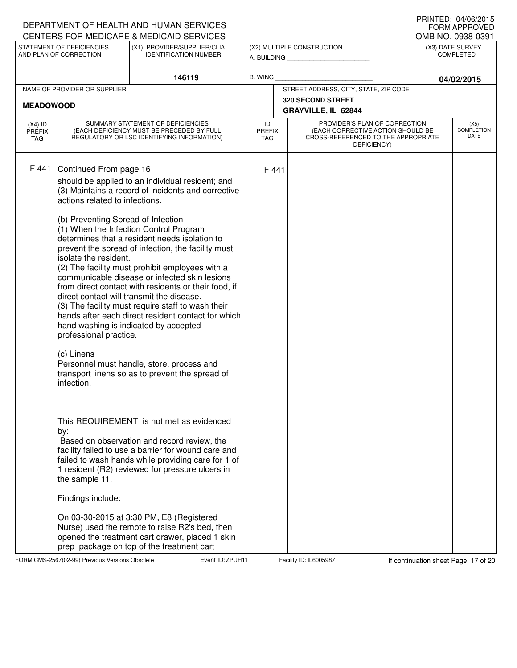# A. BUILDING **\_\_\_\_\_\_\_\_\_\_\_\_\_\_\_\_\_\_\_\_\_\_** (X1) PROVIDER/SUPPLIER/CLIA IDENTIFICATION NUMBER: STATEMENT OF DEFICIENCIES AND PLAN OF CORRECTION (X3) DATE SURVEY COMPLETED FORM APPROVED<br>OMB NO. 0938-0391 (X2) MULTIPLE CONSTRUCTION B. WING CENTERS FOR MEDICARE & MEDICAID SERVICES **146119 04/02/2015** NAME OF PROVIDER OR SUPPLIER STREET ADDRESS, CITY, STATE, ZIP CODE **320 SECOND STREET MEADOWOOD GRAYVILLE, IL 62844** PROVIDER'S PLAN OF CORRECTION (EACH CORRECTIVE ACTION SHOULD BE CROSS-REFERENCED TO THE APPROPRIATE DEFICIENCY) (X5) COMPLETION DATE ID PREFIX TAG (X4) ID PREFIX TAG SUMMARY STATEMENT OF DEFICIENCIES (EACH DEFICIENCY MUST BE PRECEDED BY FULL REGULATORY OR LSC IDENTIFYING INFORMATION) F 441 Continued From page 16 F 441 should be applied to an individual resident; and (3) Maintains a record of incidents and corrective actions related to infections. (b) Preventing Spread of Infection (1) When the Infection Control Program determines that a resident needs isolation to prevent the spread of infection, the facility must isolate the resident. (2) The facility must prohibit employees with a communicable disease or infected skin lesions from direct contact with residents or their food, if direct contact will transmit the disease. (3) The facility must require staff to wash their hands after each direct resident contact for which hand washing is indicated by accepted professional practice. (c) Linens Personnel must handle, store, process and transport linens so as to prevent the spread of infection. This REQUIREMENT is not met as evidenced by: Based on observation and record review, the facility failed to use a barrier for wound care and failed to wash hands while providing care for 1 of 1 resident (R2) reviewed for pressure ulcers in the sample 11. Findings include: On 03-30-2015 at 3:30 PM, E8 (Registered Nurse) used the remote to raise R2's bed, then opened the treatment cart drawer, placed 1 skin prep package on top of the treatment cart

FORM CMS-2567(02-99) Previous Versions Obsolete **Zapul Event ID: 2PUH11** Facility ID: IL6005987 If continuation sheet Page 17 of 20

DEPARTMENT OF HEALTH AND HUMAN SERVICES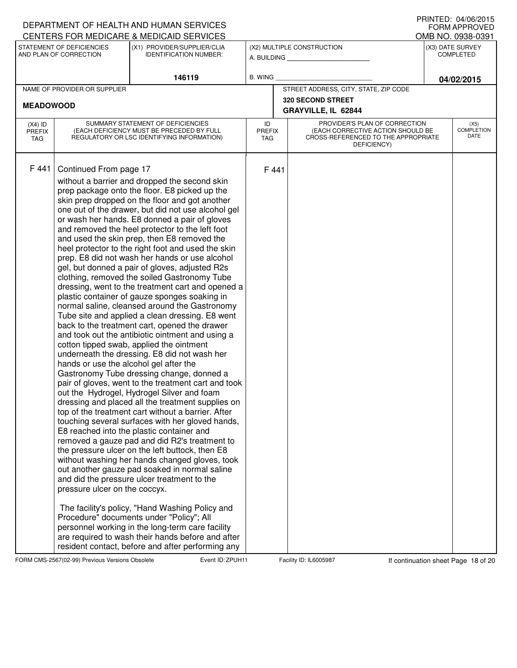### A. BUILDING **\_\_\_\_\_\_\_\_\_\_\_\_\_\_\_\_\_\_\_\_\_\_** (X1) PROVIDER/SUPPLIER/CLIA IDENTIFICATION NUMBER: STATEMENT OF DEFICIENCIES AND PLAN OF CORRECTION (X3) DATE SURVEY COMPLETED FORM APPROVED<br>OMB NO. 0938-0391 (X2) MULTIPLE CONSTRUCTION B. WING CENTERS FOR MEDICARE & MEDICAID SERVICES **146119 04/02/2015** NAME OF PROVIDER OR SUPPLIER STREET ADDRESS, CITY, STATE, ZIP CODE **320 SECOND STREET MEADOWOOD GRAYVILLE, IL 62844** PROVIDER'S PLAN OF CORRECTION (EACH CORRECTIVE ACTION SHOULD BE CROSS-REFERENCED TO THE APPROPRIATE DEFICIENCY) (X5) **COMPLETION** DATE ID PREFIX TAG (X4) ID PREFIX TAG SUMMARY STATEMENT OF DEFICIENCIES (EACH DEFICIENCY MUST BE PRECEDED BY FULL REGULATORY OR LSC IDENTIFYING INFORMATION) F 441 Continued From page 17 F 441 without a barrier and dropped the second skin prep package onto the floor. E8 picked up the skin prep dropped on the floor and got another one out of the drawer, but did not use alcohol gel or wash her hands. E8 donned a pair of gloves and removed the heel protector to the left foot and used the skin prep, then E8 removed the heel protector to the right foot and used the skin prep. E8 did not wash her hands or use alcohol gel, but donned a pair of gloves, adjusted R2s clothing, removed the soiled Gastronomy Tube dressing, went to the treatment cart and opened a plastic container of gauze sponges soaking in normal saline, cleansed around the Gastronomy Tube site and applied a clean dressing. E8 went back to the treatment cart, opened the drawer and took out the antibiotic ointment and using a cotton tipped swab, applied the ointment underneath the dressing. E8 did not wash her hands or use the alcohol gel after the Gastronomy Tube dressing change, donned a pair of gloves, went to the treatment cart and took out the Hydrogel, Hydrogel Silver and foam dressing and placed all the treatment supplies on top of the treatment cart without a barrier. After touching several surfaces with her gloved hands, E8 reached into the plastic container and removed a gauze pad and did R2's treatment to the pressure ulcer on the left buttock, then E8 without washing her hands changed gloves, took out another gauze pad soaked in normal saline and did the pressure ulcer treatment to the pressure ulcer on the coccyx. The facility's policy, "Hand Washing Policy and Procedure" documents under "Policy"; All personnel working in the long-term care facility are required to wash their hands before and after resident contact, before and after performing any

# FORM CMS-2567(02-99) Previous Versions Obsolete **Zapul Event ID: 2PUH11** Facility ID: IL6005987 If continuation sheet Page 18 of 20

DEPARTMENT OF HEALTH AND HUMAN SERVICES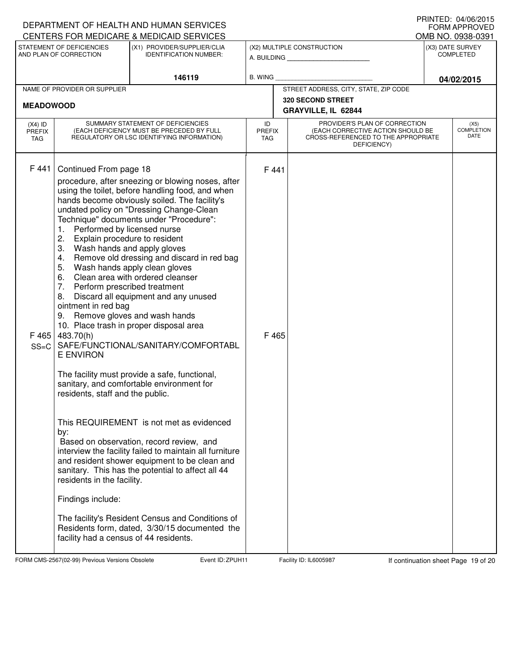| DEPARTMENT OF HEALTH AND HUMAN SERVICES                                                         |                                                                                                                                                                                                                                                                                                                                                                                                                                                                                                                                                                                                                                                                                                                                                                                                                                                                                                                                                                                                                                                                                                                                                                                                                                                                                                                                                             | IIIIIIILU. UH/UU/LUIJ<br>FORM APPROVED<br>OMB NO. 0938-0391  |                                                              |                                                                                                                          |                                      |  |  |  |
|-------------------------------------------------------------------------------------------------|-------------------------------------------------------------------------------------------------------------------------------------------------------------------------------------------------------------------------------------------------------------------------------------------------------------------------------------------------------------------------------------------------------------------------------------------------------------------------------------------------------------------------------------------------------------------------------------------------------------------------------------------------------------------------------------------------------------------------------------------------------------------------------------------------------------------------------------------------------------------------------------------------------------------------------------------------------------------------------------------------------------------------------------------------------------------------------------------------------------------------------------------------------------------------------------------------------------------------------------------------------------------------------------------------------------------------------------------------------------|--------------------------------------------------------------|--------------------------------------------------------------|--------------------------------------------------------------------------------------------------------------------------|--------------------------------------|--|--|--|
| CENTERS FOR MEDICARE & MEDICAID SERVICES<br>STATEMENT OF DEFICIENCIES<br>AND PLAN OF CORRECTION |                                                                                                                                                                                                                                                                                                                                                                                                                                                                                                                                                                                                                                                                                                                                                                                                                                                                                                                                                                                                                                                                                                                                                                                                                                                                                                                                                             | (X1) PROVIDER/SUPPLIER/CLIA<br><b>IDENTIFICATION NUMBER:</b> | (X2) MULTIPLE CONSTRUCTION<br>A. BUILDING <b>A.</b> BUILDING |                                                                                                                          | (X3) DATE SURVEY<br><b>COMPLETED</b> |  |  |  |
|                                                                                                 |                                                                                                                                                                                                                                                                                                                                                                                                                                                                                                                                                                                                                                                                                                                                                                                                                                                                                                                                                                                                                                                                                                                                                                                                                                                                                                                                                             | 146119<br>B. WING                                            |                                                              |                                                                                                                          | 04/02/2015                           |  |  |  |
| NAME OF PROVIDER OR SUPPLIER                                                                    |                                                                                                                                                                                                                                                                                                                                                                                                                                                                                                                                                                                                                                                                                                                                                                                                                                                                                                                                                                                                                                                                                                                                                                                                                                                                                                                                                             |                                                              |                                                              | STREET ADDRESS, CITY, STATE, ZIP CODE<br><b>320 SECOND STREET</b>                                                        |                                      |  |  |  |
| <b>MEADOWOOD</b>                                                                                |                                                                                                                                                                                                                                                                                                                                                                                                                                                                                                                                                                                                                                                                                                                                                                                                                                                                                                                                                                                                                                                                                                                                                                                                                                                                                                                                                             |                                                              |                                                              | GRAYVILLE, IL 62844                                                                                                      |                                      |  |  |  |
| $(X4)$ ID<br><b>PREFIX</b><br>TAG                                                               | SUMMARY STATEMENT OF DEFICIENCIES<br>(EACH DEFICIENCY MUST BE PRECEDED BY FULL<br>REGULATORY OR LSC IDENTIFYING INFORMATION)                                                                                                                                                                                                                                                                                                                                                                                                                                                                                                                                                                                                                                                                                                                                                                                                                                                                                                                                                                                                                                                                                                                                                                                                                                |                                                              | ID<br><b>PREFIX</b><br><b>TAG</b>                            | PROVIDER'S PLAN OF CORRECTION<br>(EACH CORRECTIVE ACTION SHOULD BE<br>CROSS-REFERENCED TO THE APPROPRIATE<br>DEFICIENCY) | (X5)<br><b>COMPLETION</b><br>DATE    |  |  |  |
| F 441<br>F 465<br>$SS=C$                                                                        | Continued From page 18<br>procedure, after sneezing or blowing noses, after<br>using the toilet, before handling food, and when<br>hands become obviously soiled. The facility's<br>undated policy on "Dressing Change-Clean<br>Technique" documents under "Procedure":<br>Performed by licensed nurse<br>1.<br>2.<br>Explain procedure to resident<br>3.<br>Wash hands and apply gloves<br>Remove old dressing and discard in red bag<br>4.<br>5.<br>Wash hands apply clean gloves<br>6.<br>Clean area with ordered cleanser<br>7.<br>Perform prescribed treatment<br>Discard all equipment and any unused<br>8.<br>ointment in red bag<br>Remove gloves and wash hands<br>9.<br>10. Place trash in proper disposal area<br>483.70(h)<br>SAFE/FUNCTIONAL/SANITARY/COMFORTABL<br><b>E ENVIRON</b><br>The facility must provide a safe, functional,<br>sanitary, and comfortable environment for<br>residents, staff and the public.<br>This REQUIREMENT is not met as evidenced<br>by:<br>Based on observation, record review, and<br>interview the facility failed to maintain all furniture<br>and resident shower equipment to be clean and<br>sanitary. This has the potential to affect all 44<br>residents in the facility.<br>Findings include:<br>The facility's Resident Census and Conditions of<br>Residents form, dated, 3/30/15 documented the |                                                              | F 441<br>F 465                                               |                                                                                                                          |                                      |  |  |  |

FORM CMS-2567(02-99) Previous Versions Obsolete **ZPUH Event ID: ZPUH11** Facility ID: IL6005987 If continuation sheet Page 19 of 20